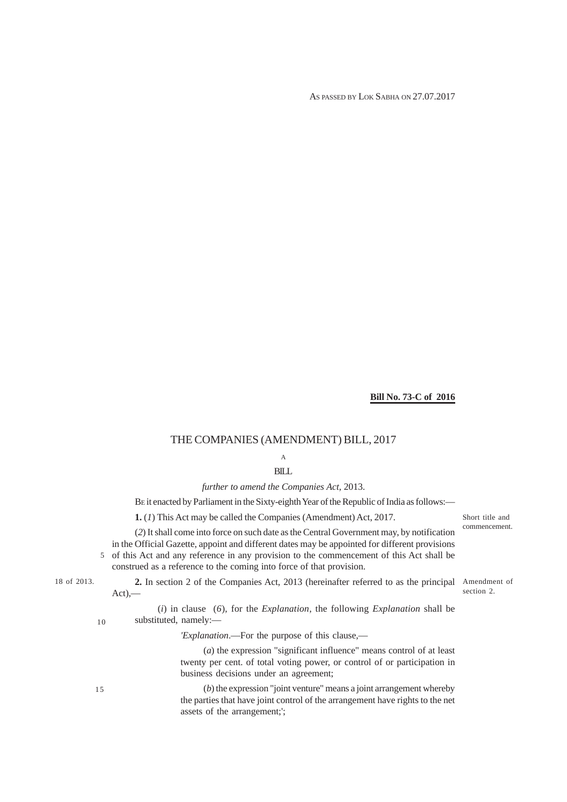AS PASSED BY LOK SABHA ON 27.07.2017

**Bill No. 73-C of 2016**

## THE COMPANIES (AMENDMENT) BILL, 2017

## A

BILL

*further to amend the Companies Act,* 2013.

BE it enacted by Parliament in the Sixty-eighth Year of the Republic of India as follows:—

**1.** (*1*) This Act may be called the Companies (Amendment) Act, 2017.

(*2*) It shall come into force on such date as the Central Government may, by notification in the Official Gazette, appoint and different dates may be appointed for different provisions 5 of this Act and any reference in any provision to the commencement of this Act shall be

construed as a reference to the coming into force of that provision.

18 of 2013.

2. In section 2 of the Companies Act, 2013 (hereinafter referred to as the principal Amendment of  $Act)$ ,—

(*i*) in clause (*6*), for the *Explanation*, the following *Explanation* shall be substituted, namely:—

*'Explanation*.—For the purpose of this clause,—

(*a*) the expression "significant influence" means control of at least twenty per cent. of total voting power, or control of or participation in business decisions under an agreement;

15

10

(*b*) the expression "joint venture" means a joint arrangement whereby the parties that have joint control of the arrangement have rights to the net assets of the arrangement;';

Short title and commencement.

section 2.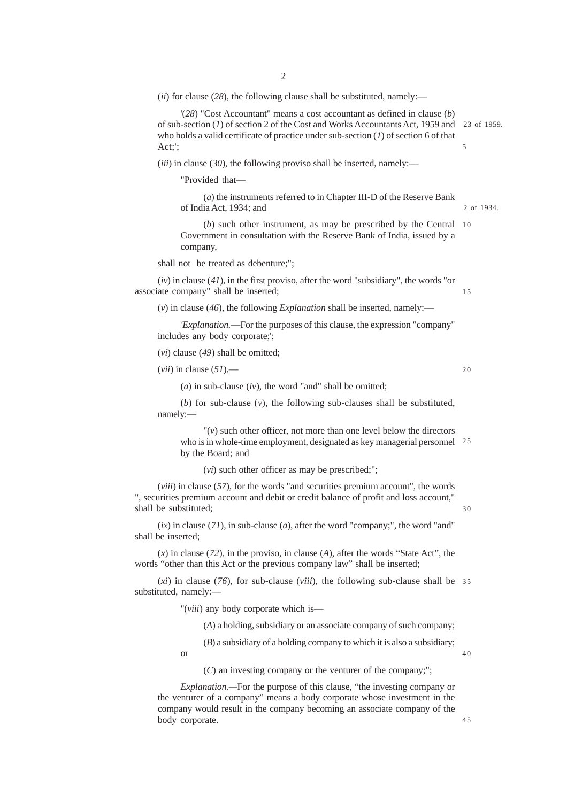(*ii*) for clause (*28*), the following clause shall be substituted, namely:—

'(*28*) "Cost Accountant" means a cost accountant as defined in clause (*b*) of sub-section (*1*) of section 2 of the Cost and Works Accountants Act, 1959 and 23 of 1959. who holds a valid certificate of practice under sub-section (*1*) of section 6 of that Act;'; 5

(*iii*) in clause (*30*), the following proviso shall be inserted, namely:—

"Provided that—

(*a*) the instruments referred to in Chapter III-D of the Reserve Bank of India Act, 1934; and

(*b*) such other instrument, as may be prescribed by the Central 10 Government in consultation with the Reserve Bank of India, issued by a company,

shall not be treated as debenture;";

(*iv*) in clause (*41*), in the first proviso, after the word "subsidiary", the words "or associate company" shall be inserted;

(*v*) in clause (*46*), the following *Explanation* shall be inserted, namely:—

*'Explanation.*—For the purposes of this clause, the expression "company" includes any body corporate;';

(*vi*) clause (*49*) shall be omitted;

(*vii*) in clause (*51*),—

(*a*) in sub-clause (*iv*), the word "and" shall be omitted;

(*b*) for sub-clause (*v*), the following sub-clauses shall be substituted, namely:—

 $\mathbf{v}(v)$  such other officer, not more than one level below the directors who is in whole-time employment, designated as key managerial personnel 25 by the Board; and

(*vi*) such other officer as may be prescribed;";

(*viii*) in clause (*57*), for the words "and securities premium account", the words ", securities premium account and debit or credit balance of profit and loss account," shall be substituted;

 $(ix)$  in clause  $(71)$ , in sub-clause  $(a)$ , after the word "company;", the word "and" shall be inserted;

(*x*) in clause (*72*), in the proviso, in clause (*A*), after the words "State Act", the words "other than this Act or the previous company law" shall be inserted;

(*xi*) in clause (*76*), for sub-clause (*viii*), the following sub-clause shall be 35 substituted, namely:—

"(*viii*) any body corporate which is—

(*A*) a holding, subsidiary or an associate company of such company;

(*B*) a subsidiary of a holding company to which it is also a subsidiary;

or

(*C*) an investing company or the venturer of the company;";

*Explanation.—*For the purpose of this clause, "the investing company or the venturer of a company" means a body corporate whose investment in the company would result in the company becoming an associate company of the body corporate.

20

30

15

2 of 1934.

40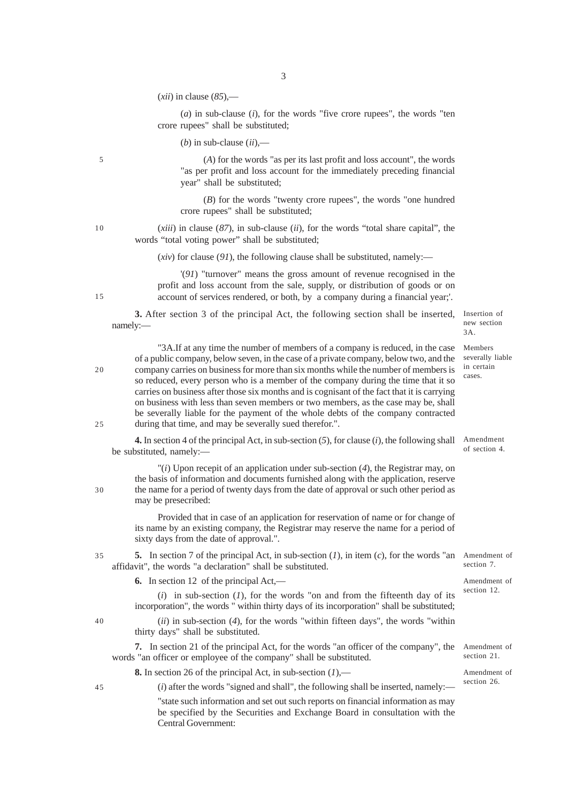(*xii*) in clause (*85*),—

(*a*) in sub-clause (*i*), for the words "five crore rupees", the words "ten crore rupees" shall be substituted;

(*b*) in sub-clause (*ii*),—

(*A*) for the words "as per its last profit and loss account", the words "as per profit and loss account for the immediately preceding financial year" shall be substituted;

(*B*) for the words "twenty crore rupees", the words "one hundred crore rupees" shall be substituted;

(*xiii*) in clause (*87*), in sub-clause (*ii*), for the words "total share capital", the words "total voting power" shall be substituted;

 $(xiv)$  for clause (91), the following clause shall be substituted, namely:—

'(*91*) "turnover" means the gross amount of revenue recognised in the profit and loss account from the sale, supply, or distribution of goods or on account of services rendered, or both, by a company during a financial year;'.

**3.** After section 3 of the principal Act, the following section shall be inserted, Insertion of namely:—

new section 3A.

Members severally liable in certain cases.

Amendment of section 12.

Amendment of section 21 Amendment of section 26.

"3A.If at any time the number of members of a company is reduced, in the case of a public company, below seven, in the case of a private company, below two, and the company carries on business for more than six months while the number of members is so reduced, every person who is a member of the company during the time that it so carries on business after those six months and is cognisant of the fact that it is carrying on business with less than seven members or two members, as the case may be, shall be severally liable for the payment of the whole debts of the company contracted during that time, and may be severally sued therefor.".

**4.** In section 4 of the principal Act, in sub-section (*5*), for clause (*i*)*,* the following shall be substituted, namely:— Amendment of section 4.

"(*i*) Upon recepit of an application under sub-section (*4*), the Registrar may, on the basis of information and documents furnished along with the application, reserve the name for a period of twenty days from the date of approval or such other period as may be presecribed:

Provided that in case of an application for reservation of name or for change of its name by an existing company, the Registrar may reserve the name for a period of sixty days from the date of approval.".

**5.** In section 7 of the principal Act, in sub-section (*1*), in item (*c*), for the words "an affidavit", the words "a declaration" shall be substituted. Amendment of section 7. 35

**6.** In section 12 of the principal Act,—

 $(i)$  in sub-section  $(I)$ , for the words "on and from the fifteenth day of its incorporation", the words " within thirty days of its incorporation" shall be substituted;

(*ii*) in sub-section (*4*), for the words "within fifteen days", the words "within thirty days" shall be substituted.

**7.** In section 21 of the principal Act, for the words "an officer of the company", the words "an officer or employee of the company" shall be substituted.

**8.** In section 26 of the principal Act, in sub-section (*1*),—

45

(*i*) after the words "signed and shall", the following shall be inserted, namely:—

"state such information and set out such reports on financial information as may be specified by the Securities and Exchange Board in consultation with the Central Government:

 $20$ 

5

10

15

25

30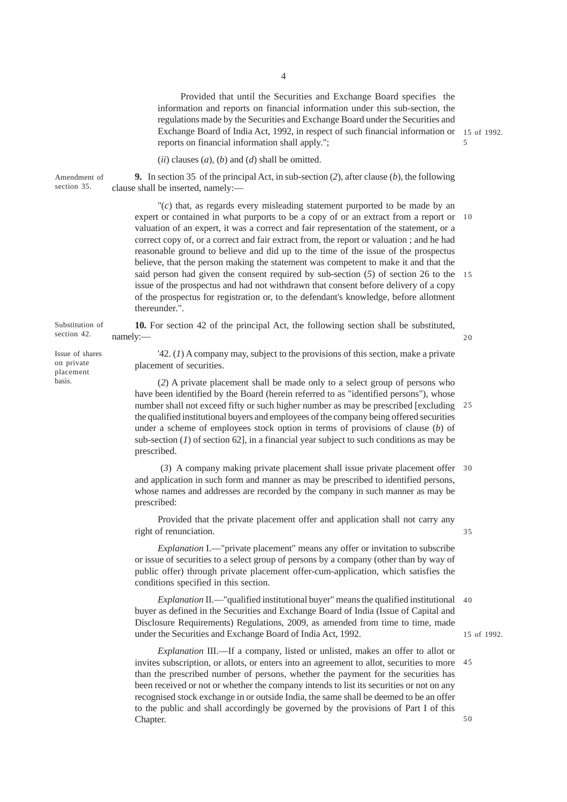Provided that until the Securities and Exchange Board specifies the information and reports on financial information under this sub-section, the regulations made by the Securities and Exchange Board under the Securities and Exchange Board of India Act, 1992, in respect of such financial information or 15 of 1992. reports on financial information shall apply.";

5

(*ii*) clauses (*a*), (*b*) and (*d*) shall be omitted.

**9.** In section 35 of the principal Act, in sub-section (*2*), after clause (*b*), the following clause shall be inserted, namely:— Amendment of

> "(*c*) that, as regards every misleading statement purported to be made by an expert or contained in what purports to be a copy of or an extract from a report or valuation of an expert, it was a correct and fair representation of the statement, or a correct copy of, or a correct and fair extract from, the report or valuation ; and he had reasonable ground to believe and did up to the time of the issue of the prospectus believe, that the person making the statement was competent to make it and that the said person had given the consent required by sub-section (*5*) of section 26 to the 15 issue of the prospectus and had not withdrawn that consent before delivery of a copy of the prospectus for registration or, to the defendant's knowledge, before allotment thereunder.". 10

Substitution of section 42.

section 35.

Issue of shares on private placement basis.

**10.** For section 42 of the principal Act, the following section shall be substituted, namely:—

'42. (*1*) A company may, subject to the provisions of this section, make a private placement of securities.

(*2*) A private placement shall be made only to a select group of persons who have been identified by the Board (herein referred to as "identified persons"), whose number shall not exceed fifty or such higher number as may be prescribed [excluding the qualified institutional buyers and employees of the company being offered securities under a scheme of employees stock option in terms of provisions of clause (*b*) of sub-section (*1*) of section 62], in a financial year subject to such conditions as may be prescribed. 25

 (*3*) A company making private placement shall issue private placement offer 30 and application in such form and manner as may be prescribed to identified persons, whose names and addresses are recorded by the company in such manner as may be prescribed:

Provided that the private placement offer and application shall not carry any right of renunciation.

*Explanation* I.—"private placement" means any offer or invitation to subscribe or issue of securities to a select group of persons by a company (other than by way of public offer) through private placement offer-cum-application, which satisfies the conditions specified in this section.

*Explanation* II.—"qualified institutional buyer" means the qualified institutional buyer as defined in the Securities and Exchange Board of India (Issue of Capital and Disclosure Requirements) Regulations, 2009, as amended from time to time, made under the Securities and Exchange Board of India Act, 1992. 40

*Explanation* III.—If a company, listed or unlisted, makes an offer to allot or invites subscription, or allots, or enters into an agreement to allot, securities to more than the prescribed number of persons, whether the payment for the securities has been received or not or whether the company intends to list its securities or not on any recognised stock exchange in or outside India, the same shall be deemed to be an offer to the public and shall accordingly be governed by the provisions of Part I of this Chapter. 45

35

 $20$ 

15 of 1992.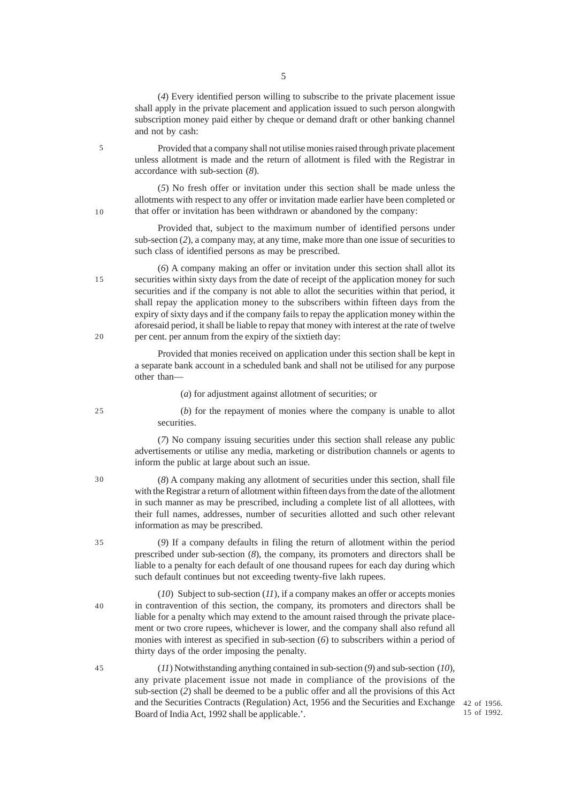(*4*) Every identified person willing to subscribe to the private placement issue shall apply in the private placement and application issued to such person alongwith subscription money paid either by cheque or demand draft or other banking channel and not by cash:

Provided that a company shall not utilise monies raised through private placement unless allotment is made and the return of allotment is filed with the Registrar in accordance with sub-section (*8*).

(*5*) No fresh offer or invitation under this section shall be made unless the allotments with respect to any offer or invitation made earlier have been completed or that offer or invitation has been withdrawn or abandoned by the company:

Provided that, subject to the maximum number of identified persons under sub-section (*2*), a company may, at any time, make more than one issue of securities to such class of identified persons as may be prescribed.

(*6*) A company making an offer or invitation under this section shall allot its securities within sixty days from the date of receipt of the application money for such securities and if the company is not able to allot the securities within that period, it shall repay the application money to the subscribers within fifteen days from the expiry of sixty days and if the company fails to repay the application money within the aforesaid period, it shall be liable to repay that money with interest at the rate of twelve per cent. per annum from the expiry of the sixtieth day:

Provided that monies received on application under this section shall be kept in a separate bank account in a scheduled bank and shall not be utilised for any purpose other than—

(*a*) for adjustment against allotment of securities; or

(*b*) for the repayment of monies where the company is unable to allot securities.

(*7*) No company issuing securities under this section shall release any public advertisements or utilise any media, marketing or distribution channels or agents to inform the public at large about such an issue.

(*8*) A company making any allotment of securities under this section, shall file with the Registrar a return of allotment within fifteen days from the date of the allotment in such manner as may be prescribed, including a complete list of all allottees, with their full names, addresses, number of securities allotted and such other relevant information as may be prescribed.

(*9*) If a company defaults in filing the return of allotment within the period prescribed under sub-section (*8*), the company, its promoters and directors shall be liable to a penalty for each default of one thousand rupees for each day during which such default continues but not exceeding twenty-five lakh rupees.

(*10*) Subject to sub-section (*11*), if a company makes an offer or accepts monies in contravention of this section, the company, its promoters and directors shall be liable for a penalty which may extend to the amount raised through the private placement or two crore rupees, whichever is lower, and the company shall also refund all monies with interest as specified in sub-section (*6*) to subscribers within a period of thirty days of the order imposing the penalty.

(*11*) Notwithstanding anything contained in sub-section (*9*) and sub-section (*10*), any private placement issue not made in compliance of the provisions of the sub-section (*2*) shall be deemed to be a public offer and all the provisions of this Act and the Securities Contracts (Regulation) Act, 1956 and the Securities and Exchange 42 of 1956. Board of India Act, 1992 shall be applicable.'.

15 of 1992.

5

10

15

20

- 25
- 30
- 35

40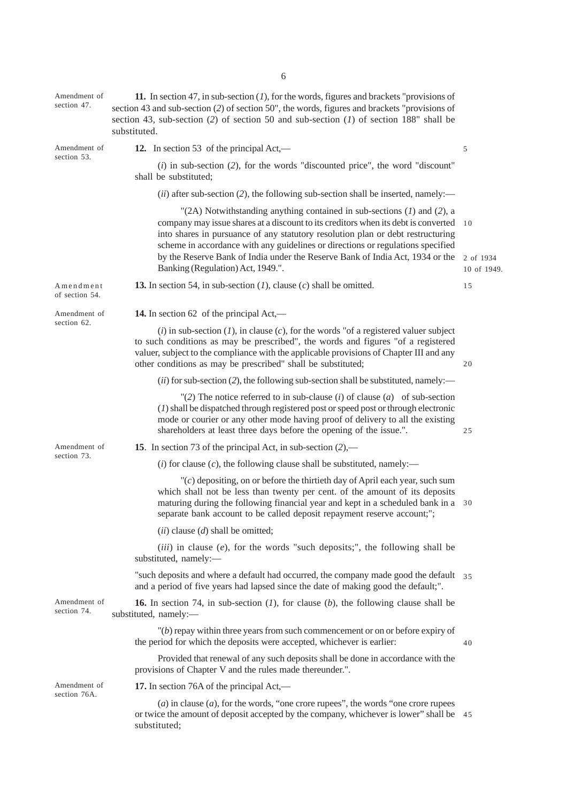| Amendment of<br>section 47.  | 11. In section 47, in sub-section $(I)$ , for the words, figures and brackets "provisions of<br>section 43 and sub-section (2) of section 50", the words, figures and brackets "provisions of<br>section 43, sub-section (2) of section 50 and sub-section (1) of section 188" shall be<br>substituted.                                                                                                                                                        |                                |
|------------------------------|----------------------------------------------------------------------------------------------------------------------------------------------------------------------------------------------------------------------------------------------------------------------------------------------------------------------------------------------------------------------------------------------------------------------------------------------------------------|--------------------------------|
| Amendment of<br>section 53.  | 12. In section 53 of the principal $Act$ ,—                                                                                                                                                                                                                                                                                                                                                                                                                    | 5                              |
|                              | $(i)$ in sub-section (2), for the words "discounted price", the word "discount"<br>shall be substituted;                                                                                                                                                                                                                                                                                                                                                       |                                |
|                              | $(ii)$ after sub-section (2), the following sub-section shall be inserted, namely:—                                                                                                                                                                                                                                                                                                                                                                            |                                |
|                              | "(2A) Notwithstanding anything contained in sub-sections $(I)$ and $(2)$ , a<br>company may issue shares at a discount to its creditors when its debt is converted<br>into shares in pursuance of any statutory resolution plan or debt restructuring<br>scheme in accordance with any guidelines or directions or regulations specified<br>by the Reserve Bank of India under the Reserve Bank of India Act, 1934 or the<br>Banking (Regulation) Act, 1949.". | 10<br>2 of 1934<br>10 of 1949. |
| Amendment<br>of section 54.  | 13. In section 54, in sub-section $(I)$ , clause $(c)$ shall be omitted.                                                                                                                                                                                                                                                                                                                                                                                       | 15                             |
| Amendment of                 | 14. In section 62 of the principal Act,—                                                                                                                                                                                                                                                                                                                                                                                                                       |                                |
| section 62.                  | $(i)$ in sub-section $(I)$ , in clause $(c)$ , for the words "of a registered valuer subject<br>to such conditions as may be prescribed", the words and figures "of a registered<br>valuer, subject to the compliance with the applicable provisions of Chapter III and any<br>other conditions as may be prescribed" shall be substituted;                                                                                                                    | 20                             |
|                              | $(ii)$ for sub-section (2), the following sub-section shall be substituted, namely:—                                                                                                                                                                                                                                                                                                                                                                           |                                |
|                              | "(2) The notice referred to in sub-clause (i) of clause (a) of sub-section<br>(1) shall be dispatched through registered post or speed post or through electronic<br>mode or courier or any other mode having proof of delivery to all the existing<br>shareholders at least three days before the opening of the issue.".                                                                                                                                     | 25                             |
| Amendment of                 | <b>15.</b> In section 73 of the principal Act, in sub-section $(2)$ ,—                                                                                                                                                                                                                                                                                                                                                                                         |                                |
| section 73.                  | (i) for clause (c), the following clause shall be substituted, namely:—                                                                                                                                                                                                                                                                                                                                                                                        |                                |
|                              | $\Gamma(c)$ depositing, on or before the thirtieth day of April each year, such sum<br>which shall not be less than twenty per cent. of the amount of its deposits<br>maturing during the following financial year and kept in a scheduled bank in a 30<br>separate bank account to be called deposit repayment reserve account;";                                                                                                                             |                                |
|                              | $(ii)$ clause $(d)$ shall be omitted;                                                                                                                                                                                                                                                                                                                                                                                                                          |                                |
|                              | $(iii)$ in clause (e), for the words "such deposits;", the following shall be<br>substituted, namely:-                                                                                                                                                                                                                                                                                                                                                         |                                |
|                              | "such deposits and where a default had occurred, the company made good the default 35<br>and a period of five years had lapsed since the date of making good the default;".                                                                                                                                                                                                                                                                                    |                                |
| Amendment of<br>section 74.  | <b>16.</b> In section 74, in sub-section $(1)$ , for clause $(b)$ , the following clause shall be<br>substituted, namely:-                                                                                                                                                                                                                                                                                                                                     |                                |
|                              | $'(b)$ repay within three years from such commencement or on or before expiry of<br>the period for which the deposits were accepted, whichever is earlier:                                                                                                                                                                                                                                                                                                     | 40                             |
|                              | Provided that renewal of any such deposits shall be done in accordance with the<br>provisions of Chapter V and the rules made thereunder.".                                                                                                                                                                                                                                                                                                                    |                                |
| Amendment of<br>section 76A. | 17. In section 76A of the principal Act,—                                                                                                                                                                                                                                                                                                                                                                                                                      |                                |
|                              | $(a)$ in clause $(a)$ , for the words, "one crore rupees", the words "one crore rupees"<br>or twice the amount of deposit accepted by the company, whichever is lower" shall be 45<br>substituted;                                                                                                                                                                                                                                                             |                                |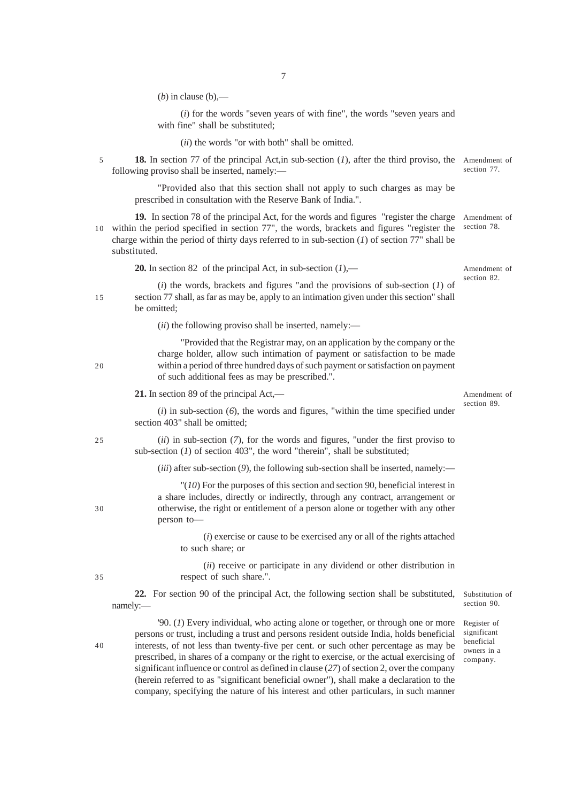$(b)$  in clause  $(b)$ ,—

(*i*) for the words "seven years of with fine", the words "seven years and with fine" shall be substituted;

(*ii*) the words "or with both" shall be omitted.

**18.** In section 77 of the principal Act,in sub-section (*1*), after the third proviso, the following proviso shall be inserted, namely:— Amendment of section 77. 5

"Provided also that this section shall not apply to such charges as may be prescribed in consultation with the Reserve Bank of India.".

**19.** In section 78 of the principal Act, for the words and figures "register the charge within the period specified in section 77", the words, brackets and figures "register the 10 charge within the period of thirty days referred to in sub-section (*1*) of section 77" shall be substituted. Amendment of section 78.

**20.** In section 82 of the principal Act, in sub-section (*1*),—

(*i*) the words, brackets and figures "and the provisions of sub-section (*1*) of section 77 shall, as far as may be, apply to an intimation given under this section" shall be omitted;

(*ii*) the following proviso shall be inserted, namely:—

"Provided that the Registrar may, on an application by the company or the charge holder, allow such intimation of payment or satisfaction to be made within a period of three hundred days of such payment or satisfaction on payment of such additional fees as may be prescribed.".

**21.** In section 89 of the principal Act,—

Amendment of section 89.

Amendment of section 82.

(*i*) in sub-section (*6*), the words and figures, "within the time specified under section 403" shall be omitted;

(*ii*) in sub-section (*7*), for the words and figures, "under the first proviso to sub-section (*1*) of section 403", the word "therein", shall be substituted;

(*iii*) after sub-section (*9*), the following sub-section shall be inserted, namely:—

"(*10*) For the purposes of this section and section 90, beneficial interest in a share includes, directly or indirectly, through any contract, arrangement or otherwise, the right or entitlement of a person alone or together with any other person to—

(*i*) exercise or cause to be exercised any or all of the rights attached to such share; or

(*ii*) receive or participate in any dividend or other distribution in respect of such share.".

**22.** For section 90 of the principal Act, the following section shall be substituted, namely:—

40

'90. (*1*) Every individual, who acting alone or together, or through one or more persons or trust, including a trust and persons resident outside India, holds beneficial interests, of not less than twenty-five per cent. or such other percentage as may be prescribed, in shares of a company or the right to exercise, or the actual exercising of significant influence or control as defined in clause (*27*) of section 2, over the company (herein referred to as "significant beneficial owner"), shall make a declaration to the company, specifying the nature of his interest and other particulars, in such manner

Substitution of section 90.

Register of significant beneficial owners in a company.

20

25

30

35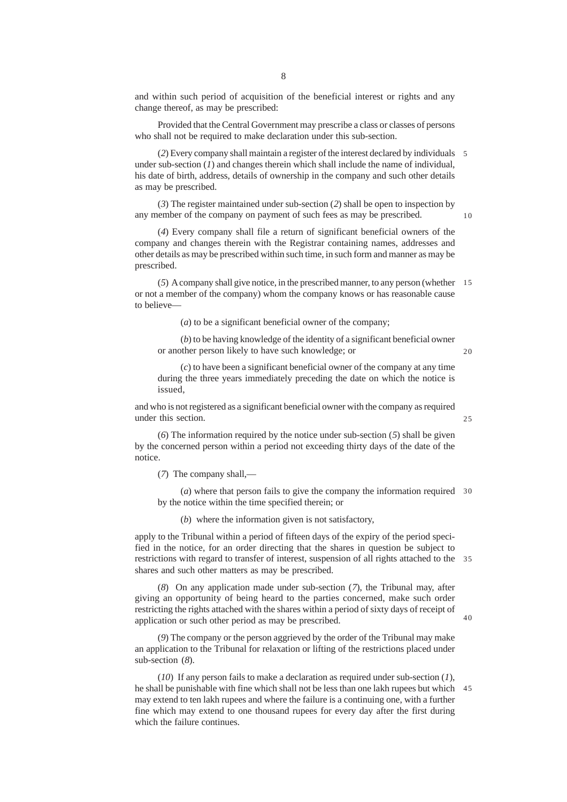and within such period of acquisition of the beneficial interest or rights and any change thereof, as may be prescribed:

Provided that the Central Government may prescribe a class or classes of persons who shall not be required to make declaration under this sub-section.

(*2*) Every company shall maintain a register of the interest declared by individuals 5 under sub-section  $(I)$  and changes therein which shall include the name of individual, his date of birth, address, details of ownership in the company and such other details as may be prescribed.

(*3*) The register maintained under sub-section (*2*) shall be open to inspection by any member of the company on payment of such fees as may be prescribed.

10

(*4*) Every company shall file a return of significant beneficial owners of the company and changes therein with the Registrar containing names, addresses and other details as may be prescribed within such time, in such form and manner as may be prescribed.

(*5*) A company shall give notice, in the prescribed manner, to any person (whether 15 or not a member of the company) whom the company knows or has reasonable cause to believe—

(*a*) to be a significant beneficial owner of the company;

(*b*) to be having knowledge of the identity of a significant beneficial owner or another person likely to have such knowledge; or

 $20$ 

25

(*c*) to have been a significant beneficial owner of the company at any time during the three years immediately preceding the date on which the notice is issued,

and who is not registered as a significant beneficial owner with the company as required under this section.

(*6*) The information required by the notice under sub-section (*5*) shall be given by the concerned person within a period not exceeding thirty days of the date of the notice.

(*7*) The company shall,—

(*a*) where that person fails to give the company the information required 30 by the notice within the time specified therein; or

(*b*) where the information given is not satisfactory,

apply to the Tribunal within a period of fifteen days of the expiry of the period specified in the notice, for an order directing that the shares in question be subject to restrictions with regard to transfer of interest, suspension of all rights attached to the 35 shares and such other matters as may be prescribed.

(*8*) On any application made under sub-section (*7*), the Tribunal may, after giving an opportunity of being heard to the parties concerned, make such order restricting the rights attached with the shares within a period of sixty days of receipt of application or such other period as may be prescribed. 40

(*9*) The company or the person aggrieved by the order of the Tribunal may make an application to the Tribunal for relaxation or lifting of the restrictions placed under sub-section (*8*).

(*10*) If any person fails to make a declaration as required under sub-section (*1*), he shall be punishable with fine which shall not be less than one lakh rupees but which 45may extend to ten lakh rupees and where the failure is a continuing one, with a further fine which may extend to one thousand rupees for every day after the first during which the failure continues.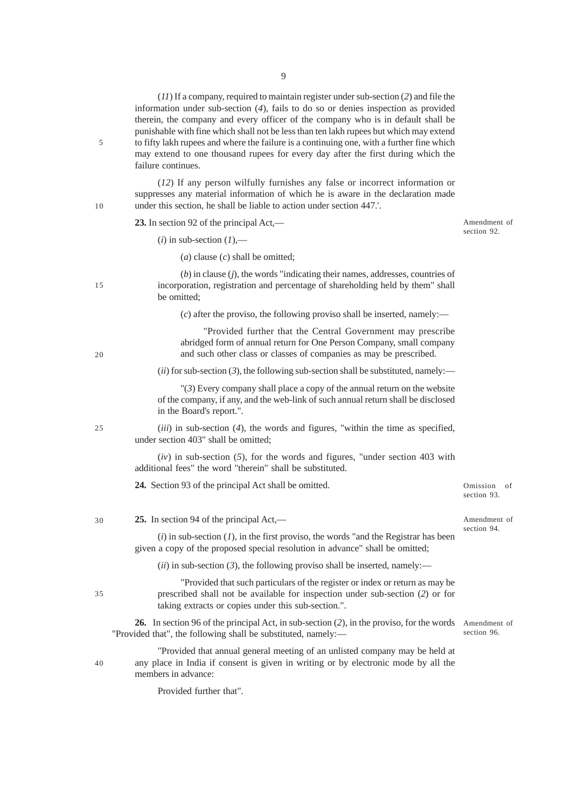(*11*) If a company, required to maintain register under sub-section (*2*) and file the information under sub-section (*4*), fails to do so or denies inspection as provided therein, the company and every officer of the company who is in default shall be punishable with fine which shall not be less than ten lakh rupees but which may extend to fifty lakh rupees and where the failure is a continuing one, with a further fine which may extend to one thousand rupees for every day after the first during which the failure continues. (*12*) If any person wilfully furnishes any false or incorrect information or suppresses any material information of which he is aware in the declaration made under this section, he shall be liable to action under section 447.'. **23.** In section 92 of the principal Act,—  $(i)$  in sub-section  $(1)$ ,— (*a*) clause (*c*) shall be omitted; (*b*) in clause (*j*), the words "indicating their names, addresses, countries of incorporation, registration and percentage of shareholding held by them" shall be omitted; (*c*) after the proviso, the following proviso shall be inserted, namely:— "Provided further that the Central Government may prescribe abridged form of annual return for One Person Company, small company and such other class or classes of companies as may be prescribed.  $(iii)$  for sub-section  $(3)$ , the following sub-section shall be substituted, namely:— "(*3*) Every company shall place a copy of the annual return on the website of the company, if any, and the web-link of such annual return shall be disclosed in the Board's report.". (*iii*) in sub-section (*4*), the words and figures, "within the time as specified, under section 403" shall be omitted; (*iv*) in sub-section (*5*), for the words and figures, "under section 403 with additional fees" the word "therein" shall be substituted. **24.** Section 93 of the principal Act shall be omitted. **25.** In section 94 of the principal Act,—  $(i)$  in sub-section  $(I)$ , in the first proviso, the words "and the Registrar has been given a copy of the proposed special resolution in advance" shall be omitted;  $(iii)$  in sub-section (3), the following proviso shall be inserted, namely:— "Provided that such particulars of the register or index or return as may be prescribed shall not be available for inspection under sub-section (*2*) or for taking extracts or copies under this sub-section.". **26.** In section 96 of the principal Act, in sub-section (*2*), in the proviso, for the words Amendment of "Provided that", the following shall be substituted, namely:— "Provided that annual general meeting of an unlisted company may be held at any place in India if consent is given in writing or by electronic mode by all the members in advance: Amendment of section 92. Omission of section 93. Amendment of section 94. section 96. 5 10 15  $20$  $25$  $30$ 35

9

40

Provided further that".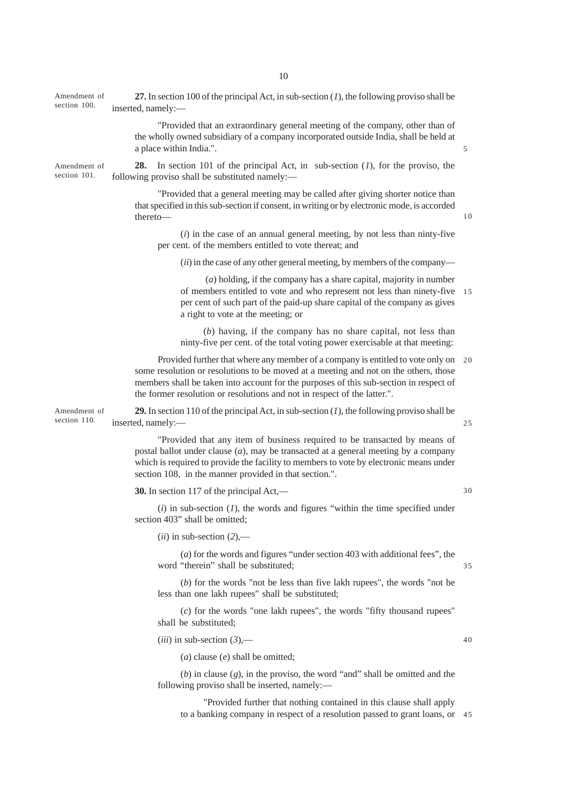**27.** In section 100 of the principal Act, in sub-section (*1*), the following proviso shall be inserted, namely:— Amendment of section 100.

> "Provided that an extraordinary general meeting of the company, other than of the wholly owned subsidiary of a company incorporated outside India, shall be held at a place within India.".

Amendment of section 101.

**28.** In section 101 of the principal Act, in sub-section (*1*), for the proviso, the following proviso shall be substituted namely:—

"Provided that a general meeting may be called after giving shorter notice than that specified in this sub-section if consent, in writing or by electronic mode, is accorded thereto—

(*i*) in the case of an annual general meeting, by not less than ninty-five per cent. of the members entitled to vote thereat; and

(*ii*) in the case of any other general meeting, by members of the company—

 (*a*) holding, if the company has a share capital, majority in number of members entitled to vote and who represent not less than ninety-five 15 per cent of such part of the paid-up share capital of the company as gives a right to vote at the meeting; or

(*b*) having, if the company has no share capital, not less than ninty-five per cent. of the total voting power exercisable at that meeting:

Provided further that where any member of a company is entitled to vote only on 20 some resolution or resolutions to be moved at a meeting and not on the others, those members shall be taken into account for the purposes of this sub-section in respect of the former resolution or resolutions and not in respect of the latter.".

**29.** In section 110 of the principal Act, in sub-section (*1*), the following proviso shall be inserted, namely:— Amendment of section 110.

> "Provided that any item of business required to be transacted by means of postal ballot under clause (*a*), may be transacted at a general meeting by a company which is required to provide the facility to members to vote by electronic means under section 108, in the manner provided in that section.".

**30.** In section 117 of the principal Act,—

 $(i)$  in sub-section  $(I)$ , the words and figures "within the time specified under section 403" shall be omitted;

 $(iii)$  in sub-section  $(2)$ ,—

(*a*) for the words and figures "under section 403 with additional fees", the word "therein" shall be substituted;

(*b*) for the words "not be less than five lakh rupees", the words "not be less than one lakh rupees" shall be substituted;

(*c*) for the words "one lakh rupees", the words "fifty thousand rupees" shall be substituted;

 $(iii)$  in sub-section  $(3)$ ,—

(*a*) clause (*e*) shall be omitted;

(*b*) in clause (*g*), in the proviso, the word "and" shall be omitted and the following proviso shall be inserted, namely:—

"Provided further that nothing contained in this clause shall apply to a banking company in respect of a resolution passed to grant loans, or 45

30

25

5

10

- 
- 35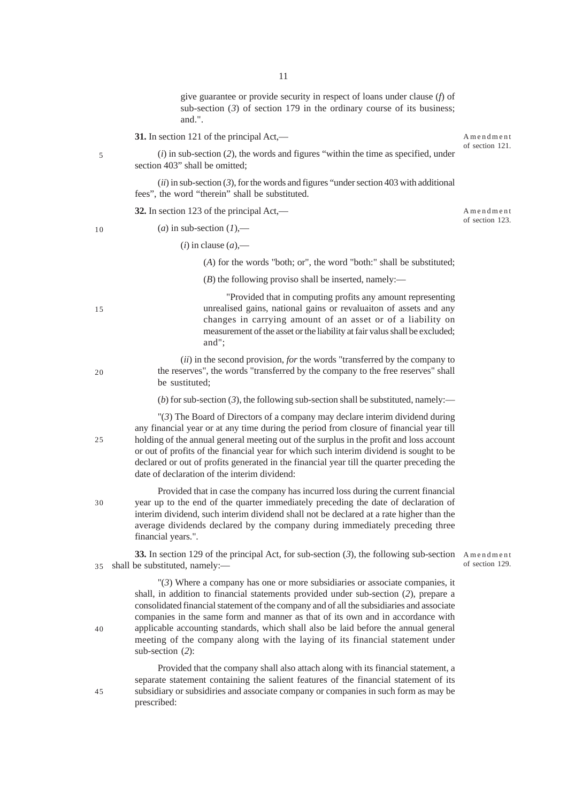give guarantee or provide security in respect of loans under clause (*f*) of sub-section (*3*) of section 179 in the ordinary course of its business; and.".

**31.** In section 121 of the principal Act,—

(*i*) in sub-section (*2*), the words and figures "within the time as specified, under section 403" shall be omitted;

(*ii*) in sub-section (*3*), for the words and figures "under section 403 with additional fees", the word "therein" shall be substituted.

**32.** In section 123 of the principal Act,—

 $(a)$  in sub-section  $(I)$ ,—

 $(i)$  in clause  $(a)$ ,—

(*A*) for the words "both; or", the word "both:" shall be substituted;

(*B*) the following proviso shall be inserted, namely:—

"Provided that in computing profits any amount representing unrealised gains, national gains or revaluaiton of assets and any changes in carrying amount of an asset or of a liability on measurement of the asset or the liability at fair valus shall be excluded; and";

(*ii*) in the second provision, *for* the words "transferred by the company to the reserves", the words "transferred by the company to the free reserves" shall be sustituted;

(*b*) for sub-section (*3*), the following sub-section shall be substituted, namely:—

"(*3*) The Board of Directors of a company may declare interim dividend during any financial year or at any time during the period from closure of financial year till holding of the annual general meeting out of the surplus in the profit and loss account or out of profits of the financial year for which such interim dividend is sought to be declared or out of profits generated in the financial year till the quarter preceding the date of declaration of the interim dividend:

Provided that in case the company has incurred loss during the current financial year up to the end of the quarter immediately preceding the date of declaration of interim dividend, such interim dividend shall not be declared at a rate higher than the average dividends declared by the company during immediately preceding three financial years.". 30

**33.** In section 129 of the principal Act, for sub-section (*3*), the following sub-section Amendment shall be substituted, namely:— 35

of section 129.

Amendment of section 123.

Amendment of section 121.

"(*3*) Where a company has one or more subsidiaries or associate companies, it shall, in addition to financial statements provided under sub-section (*2*), prepare a consolidated financial statement of the company and of all the subsidiaries and associate companies in the same form and manner as that of its own and in accordance with applicable accounting standards, which shall also be laid before the annual general meeting of the company along with the laying of its financial statement under sub-section (*2*):

Provided that the company shall also attach along with its financial statement, a separate statement containing the salient features of the financial statement of its subsidiary or subsidiries and associate company or companies in such form as may be prescribed:

10

15

5

20

25

40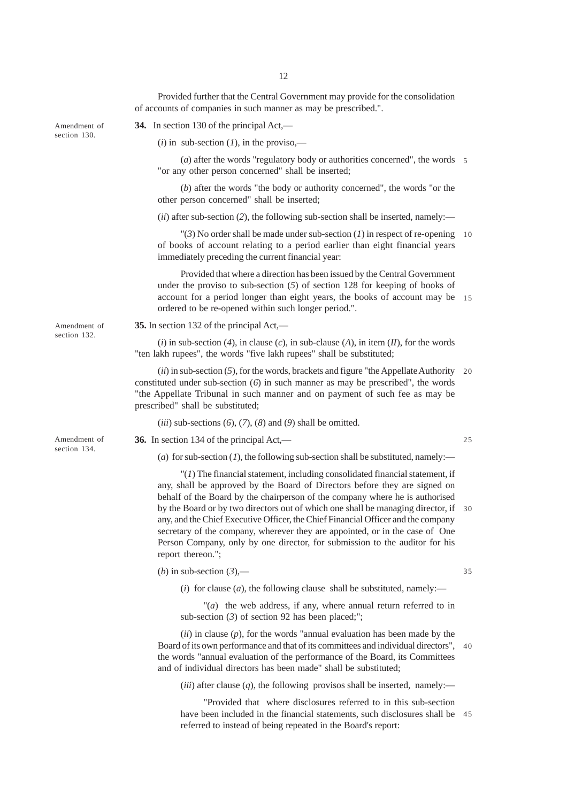Provided further that the Central Government may provide for the consolidation of accounts of companies in such manner as may be prescribed.".

Amendment of section 130.

Amendment of section 132.

Amendment of section 134.

**34.** In section 130 of the principal Act,—

 $(i)$  in sub-section  $(I)$ , in the proviso,—

(*a*) after the words "regulatory body or authorities concerned", the words 5 "or any other person concerned" shall be inserted;

(*b*) after the words "the body or authority concerned", the words "or the other person concerned" shall be inserted;

(*ii*) after sub-section (*2*), the following sub-section shall be inserted, namely:—

"(*3*) No order shall be made under sub-section (*1*) in respect of re-opening 10 of books of account relating to a period earlier than eight financial years immediately preceding the current financial year:

Provided that where a direction has been issued by the Central Government under the proviso to sub-section (*5*) of section 128 for keeping of books of account for a period longer than eight years, the books of account may be 15 ordered to be re-opened within such longer period.".

**35.** In section 132 of the principal Act,—

 $(i)$  in sub-section (4), in clause (*c*), in sub-clause (*A*), in item (*II*), for the words "ten lakh rupees", the words "five lakh rupees" shall be substituted;

(*ii*) in sub-section (*5*), for the words, brackets and figure "the Appellate Authority 20 constituted under sub-section (*6*) in such manner as may be prescribed", the words "the Appellate Tribunal in such manner and on payment of such fee as may be prescribed" shall be substituted;

(*iii*) sub-sections  $(6)$ ,  $(7)$ ,  $(8)$  and  $(9)$  shall be omitted.

**36.** In section 134 of the principal Act,—

(*a*) for sub-section (*1*), the following sub-section shall be substituted, namely:—

"(*1*) The financial statement, including consolidated financial statement, if any, shall be approved by the Board of Directors before they are signed on behalf of the Board by the chairperson of the company where he is authorised by the Board or by two directors out of which one shall be managing director, if 30 any, and the Chief Executive Officer, the Chief Financial Officer and the company secretary of the company, wherever they are appointed, or in the case of One Person Company, only by one director, for submission to the auditor for his report thereon.";

|  |  |  | (b) in sub-section $(3)$ , |  |
|--|--|--|----------------------------|--|
|--|--|--|----------------------------|--|

(*i*) for clause (*a*), the following clause shall be substituted, namely:—

"(*a*) the web address, if any, where annual return referred to in sub-section (3) of section 92 has been placed;";

(*ii*) in clause (*p*), for the words "annual evaluation has been made by the Board of its own performance and that of its committees and individual directors", 40 the words "annual evaluation of the performance of the Board, its Committees and of individual directors has been made" shall be substituted;

 $(iii)$  after clause  $(q)$ , the following provisos shall be inserted, namely:—

"Provided that where disclosures referred to in this sub-section have been included in the financial statements, such disclosures shall be 45 referred to instead of being repeated in the Board's report:

 $25$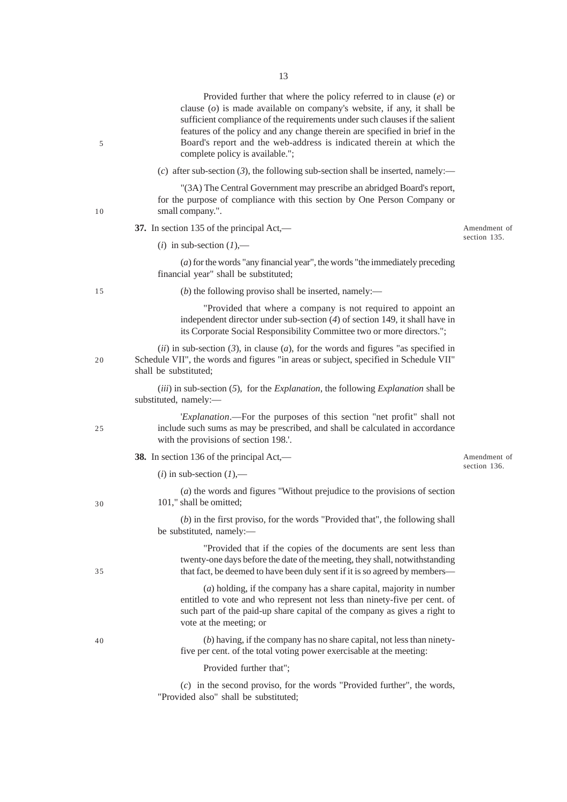| 5  | Provided further that where the policy referred to in clause $(e)$ or<br>clause $(o)$ is made available on company's website, if any, it shall be<br>sufficient compliance of the requirements under such clauses if the salient<br>features of the policy and any change therein are specified in brief in the<br>Board's report and the web-address is indicated therein at which the<br>complete policy is available."; |              |
|----|----------------------------------------------------------------------------------------------------------------------------------------------------------------------------------------------------------------------------------------------------------------------------------------------------------------------------------------------------------------------------------------------------------------------------|--------------|
|    | (c) after sub-section (3), the following sub-section shall be inserted, namely:—                                                                                                                                                                                                                                                                                                                                           |              |
| 10 | "(3A) The Central Government may prescribe an abridged Board's report,<br>for the purpose of compliance with this section by One Person Company or<br>small company.".                                                                                                                                                                                                                                                     |              |
|    | 37. In section 135 of the principal Act,—                                                                                                                                                                                                                                                                                                                                                                                  | Amendment of |
|    | ( <i>i</i> ) in sub-section $(I)$ ,—                                                                                                                                                                                                                                                                                                                                                                                       | section 135. |
|    | $(a)$ for the words "any financial year", the words "the immediately preceding<br>financial year" shall be substituted;                                                                                                                                                                                                                                                                                                    |              |
| 15 | (b) the following proviso shall be inserted, namely:—                                                                                                                                                                                                                                                                                                                                                                      |              |
|    | "Provided that where a company is not required to appoint an<br>independent director under sub-section $(4)$ of section 149, it shall have in<br>its Corporate Social Responsibility Committee two or more directors.";                                                                                                                                                                                                    |              |
| 20 | (ii) in sub-section (3), in clause (a), for the words and figures "as specified in<br>Schedule VII", the words and figures "in areas or subject, specified in Schedule VII"<br>shall be substituted;                                                                                                                                                                                                                       |              |
|    | $(iii)$ in sub-section $(5)$ , for the <i>Explanation</i> , the following <i>Explanation</i> shall be<br>substituted, namely:-                                                                                                                                                                                                                                                                                             |              |
| 25 | <i>Explanation</i> .—For the purposes of this section "net profit" shall not<br>include such sums as may be prescribed, and shall be calculated in accordance<br>with the provisions of section 198.'.                                                                                                                                                                                                                     |              |
|    | <b>38.</b> In section 136 of the principal Act,—                                                                                                                                                                                                                                                                                                                                                                           | Amendment of |
|    | $(i)$ in sub-section $(I)$ ,—                                                                                                                                                                                                                                                                                                                                                                                              | section 136. |
| 30 | $(a)$ the words and figures "Without prejudice to the provisions of section<br>101," shall be omitted;                                                                                                                                                                                                                                                                                                                     |              |
|    | $(b)$ in the first proviso, for the words "Provided that", the following shall<br>be substituted, namely:-                                                                                                                                                                                                                                                                                                                 |              |
| 35 | "Provided that if the copies of the documents are sent less than<br>twenty-one days before the date of the meeting, they shall, notwithstanding<br>that fact, be deemed to have been duly sent if it is so agreed by members-                                                                                                                                                                                              |              |
|    | $(a)$ holding, if the company has a share capital, majority in number<br>entitled to vote and who represent not less than ninety-five per cent. of<br>such part of the paid-up share capital of the company as gives a right to<br>vote at the meeting; or                                                                                                                                                                 |              |
| 40 | $(b)$ having, if the company has no share capital, not less than ninety-<br>five per cent. of the total voting power exercisable at the meeting:                                                                                                                                                                                                                                                                           |              |
|    | Provided further that";                                                                                                                                                                                                                                                                                                                                                                                                    |              |
|    | $(c)$ in the second proviso, for the words "Provided further", the words,<br>"Provided also" shall be substituted;                                                                                                                                                                                                                                                                                                         |              |
|    |                                                                                                                                                                                                                                                                                                                                                                                                                            |              |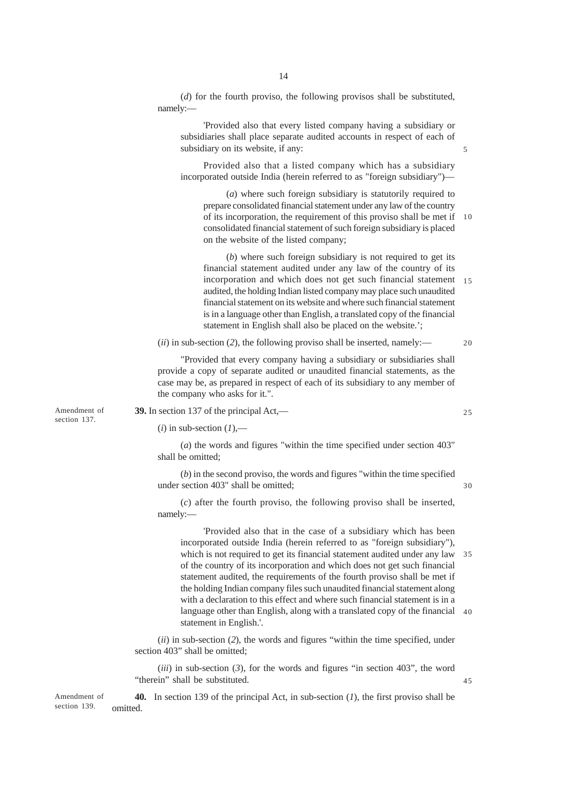(*d*) for the fourth proviso, the following provisos shall be substituted, namely:—

'Provided also that every listed company having a subsidiary or subsidiaries shall place separate audited accounts in respect of each of subsidiary on its website, if any:

Provided also that a listed company which has a subsidiary incorporated outside India (herein referred to as "foreign subsidiary")—

(*a*) where such foreign subsidiary is statutorily required to prepare consolidated financial statement under any law of the country of its incorporation, the requirement of this proviso shall be met if 10 consolidated financial statement of such foreign subsidiary is placed on the website of the listed company;

(*b*) where such foreign subsidiary is not required to get its financial statement audited under any law of the country of its incorporation and which does not get such financial statement 15 audited, the holding Indian listed company may place such unaudited financial statement on its website and where such financial statement is in a language other than English, a translated copy of the financial statement in English shall also be placed on the website.';

 $(iii)$  in sub-section (2), the following proviso shall be inserted, namely:—

"Provided that every company having a subsidiary or subsidiaries shall provide a copy of separate audited or unaudited financial statements, as the case may be, as prepared in respect of each of its subsidiary to any member of the company who asks for it.".

Amendment of section 137.

 $(i)$  in sub-section  $(I)$ ,—

**39.** In section 137 of the principal Act,—

(*a*) the words and figures "within the time specified under section 403" shall be omitted;

(*b*) in the second proviso, the words and figures "within the time specified under section 403" shall be omitted;

(*c*) after the fourth proviso, the following proviso shall be inserted, namely:—

'Provided also that in the case of a subsidiary which has been incorporated outside India (herein referred to as "foreign subsidiary"), which is not required to get its financial statement audited under any law of the country of its incorporation and which does not get such financial statement audited, the requirements of the fourth proviso shall be met if the holding Indian company files such unaudited financial statement along with a declaration to this effect and where such financial statement is in a language other than English, along with a translated copy of the financial 40 statement in English.'. 35

(*ii*) in sub-section (*2*), the words and figures "within the time specified, under section 403" shall be omitted;

(*iii*) in sub-section (*3*), for the words and figures "in section 403", the word "therein" shall be substituted.

**40.** In section 139 of the principal Act, in sub-section (*1*), the first proviso shall be omitted.

section 139.

14

25

20

5

45

Amendment of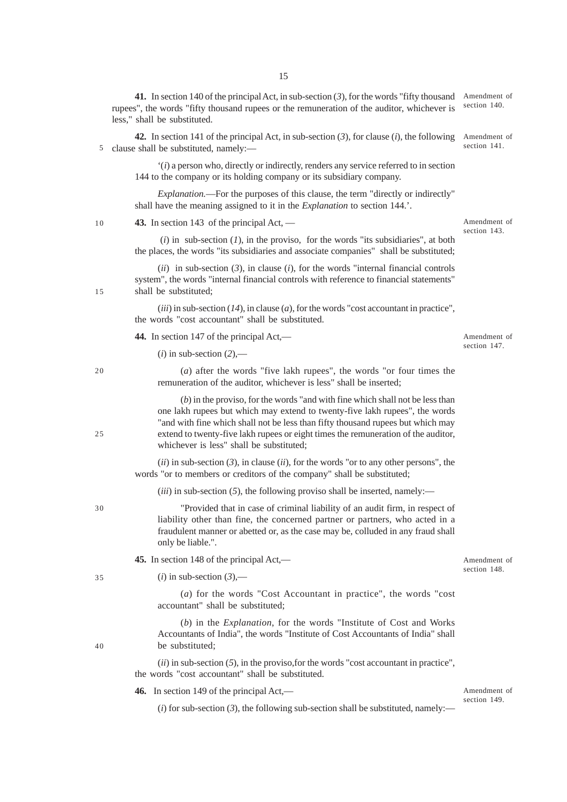**41.** In section 140 of the principal Act, in sub-section (*3*), for the words "fifty thousand rupees", the words "fifty thousand rupees or the remuneration of the auditor, whichever is less," shall be substituted. Amendment of section 140.

**42.** In section 141 of the principal Act, in sub-section (*3*), for clause (*i*), the following 5 clause shall be substituted, namely:-Amendment of section 141

'(*i*) a person who, directly or indirectly, renders any service referred to in section 144 to the company or its holding company or its subsidiary company.

*Explanation.*—For the purposes of this clause, the term "directly or indirectly" shall have the meaning assigned to it in the *Explanation* to section 144.'.

10

15

**43.** In section 143 of the principal Act, —

 (*i*) in sub-section (*1*), in the proviso, for the words "its subsidiaries", at both the places, the words "its subsidiaries and associate companies" shall be substituted;

(*ii*) in sub-section (*3*), in clause (*i*), for the words "internal financial controls system", the words "internal financial controls with reference to financial statements" shall be substituted;

 $(iii)$  in sub-section  $(14)$ , in clause  $(a)$ , for the words "cost accountant in practice", the words "cost accountant" shall be substituted.

remuneration of the auditor, whichever is less" shall be inserted;

**44.** In section 147 of the principal Act,—

 $(i)$  in sub-section  $(2)$ ,—

Amendment of section 147

20

25

30

one lakh rupees but which may extend to twenty-five lakh rupees", the words "and with fine which shall not be less than fifty thousand rupees but which may extend to twenty-five lakh rupees or eight times the remuneration of the auditor, whichever is less" shall be substituted;

(*a*) after the words "five lakh rupees", the words "or four times the

(*b*) in the proviso, for the words "and with fine which shall not be less than

(*ii*) in sub-section (*3*), in clause (*ii*), for the words "or to any other persons", the words "or to members or creditors of the company" shall be substituted;

 $(iii)$  in sub-section  $(5)$ , the following proviso shall be inserted, namely:—

"Provided that in case of criminal liability of an audit firm, in respect of liability other than fine, the concerned partner or partners, who acted in a fraudulent manner or abetted or, as the case may be, colluded in any fraud shall only be liable.".

**45.** In section 148 of the principal Act,—

35

 $(i)$  in sub-section  $(3)$ ,—

(*a*) for the words "Cost Accountant in practice", the words "cost accountant" shall be substituted;

(*b*) in the *Explanation*, for the words "Institute of Cost and Works Accountants of India", the words "Institute of Cost Accountants of India" shall be substituted;

(*ii*) in sub-section (*5*), in the proviso,for the words "cost accountant in practice", the words "cost accountant" shall be substituted.

**46.** In section 149 of the principal Act,—

Amendment of section 149.

 $(i)$  for sub-section  $(3)$ , the following sub-section shall be substituted, namely:—

Amendment of section 143.

Amendment of section 148.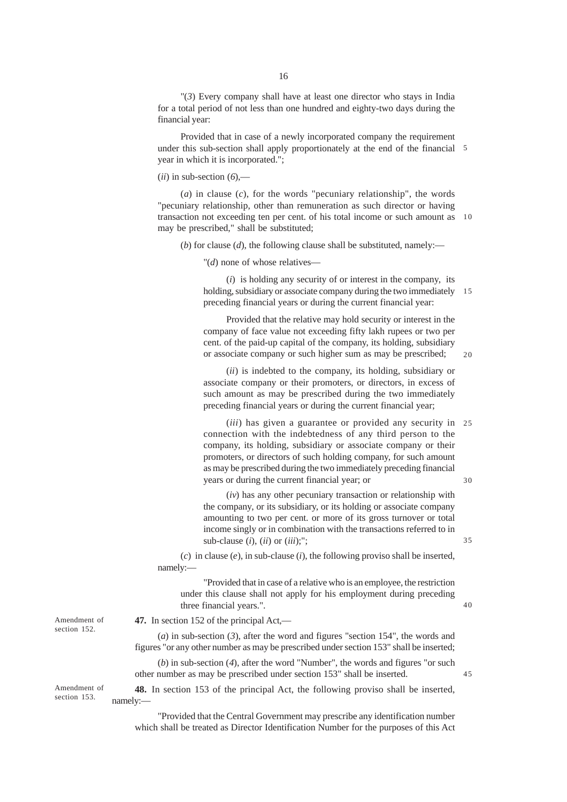"(*3*) Every company shall have at least one director who stays in India for a total period of not less than one hundred and eighty-two days during the financial year:

Provided that in case of a newly incorporated company the requirement under this sub-section shall apply proportionately at the end of the financial 5 year in which it is incorporated.";

## $(iii)$  in sub-section  $(6)$ ,—

(*a*) in clause (*c*), for the words "pecuniary relationship", the words "pecuniary relationship, other than remuneration as such director or having transaction not exceeding ten per cent. of his total income or such amount as 10 may be prescribed," shall be substituted;

(*b*) for clause (*d*), the following clause shall be substituted, namely:—

"(*d*) none of whose relatives—

(*i*) is holding any security of or interest in the company, its holding, subsidiary or associate company during the two immediately 15 preceding financial years or during the current financial year:

Provided that the relative may hold security or interest in the company of face value not exceeding fifty lakh rupees or two per cent. of the paid-up capital of the company, its holding, subsidiary or associate company or such higher sum as may be prescribed;

(*ii*) is indebted to the company, its holding, subsidiary or associate company or their promoters, or directors, in excess of such amount as may be prescribed during the two immediately preceding financial years or during the current financial year;

(*iii*) has given a guarantee or provided any security in 25 connection with the indebtedness of any third person to the company, its holding, subsidiary or associate company or their promoters, or directors of such holding company, for such amount as may be prescribed during the two immediately preceding financial years or during the current financial year; or 30

(*iv*) has any other pecuniary transaction or relationship with the company, or its subsidiary, or its holding or associate company amounting to two per cent. or more of its gross turnover or total income singly or in combination with the transactions referred to in sub-clause (*i*), (*ii*) or (*iii*);";

(*c*) in clause (*e*), in sub-clause (*i*), the following proviso shall be inserted, namely:—

"Provided that in case of a relative who is an employee, the restriction under this clause shall not apply for his employment during preceding three financial years.".

40

45

35

 $20$ 

Amendment of section 152.

**47.** In section 152 of the principal Act,—

(*a*) in sub-section (*3*), after the word and figures "section 154", the words and figures "or any other number as may be prescribed under section 153" shall be inserted;

(*b*) in sub-section (*4*), after the word "Number", the words and figures "or such other number as may be prescribed under section 153" shall be inserted.

**48.** In section 153 of the principal Act, the following proviso shall be inserted, namely:—

"Provided that the Central Government may prescribe any identification number which shall be treated as Director Identification Number for the purposes of this Act

Amendment of section 153.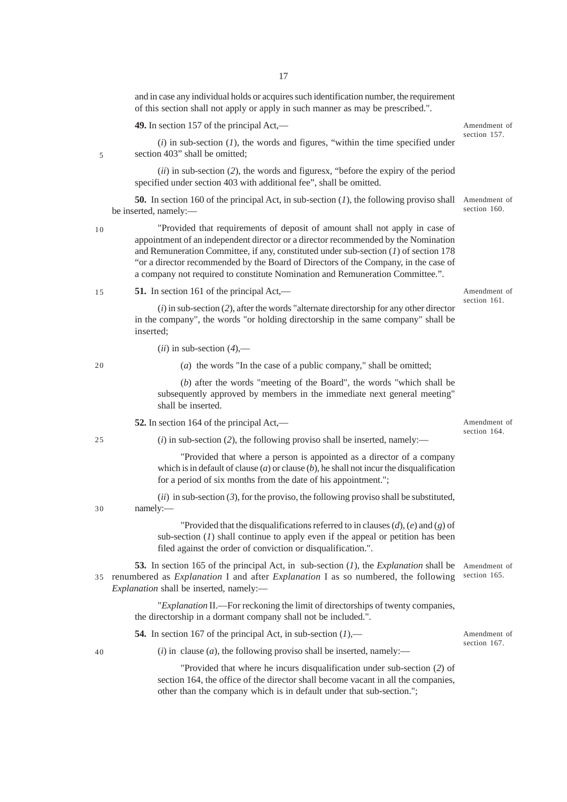and in case any individual holds or acquires such identification number, the requirement of this section shall not apply or apply in such manner as may be prescribed.".

**49.** In section 157 of the principal Act,—

section 403" shall be omitted;

5

(*ii*) in sub-section (*2*), the words and figuresx, "before the expiry of the period specified under section 403 with additional fee", shall be omitted.

 $(i)$  in sub-section  $(I)$ , the words and figures, "within the time specified under

**50.** In section 160 of the principal Act, in sub-section (*1*), the following proviso shall be inserted, namely:— Amendment of section 160.

- "Provided that requirements of deposit of amount shall not apply in case of appointment of an independent director or a director recommended by the Nomination and Remuneration Committee, if any, constituted under sub-section (*1*) of section 178 "or a director recommended by the Board of Directors of the Company, in the case of a company not required to constitute Nomination and Remuneration Committee.". 10
- **51.** In section 161 of the principal Act,— 15

Amendment of section 161

Amendment of section 164

Amendment of section 157.

(*i*) in sub-section (*2*), after the words "alternate directorship for any other director in the company", the words "or holding directorship in the same company" shall be inserted;

 $(ii)$  in sub-section  $(4)$ ,—

20

25

30

(*a*) the words "In the case of a public company," shall be omitted;

(*b*) after the words "meeting of the Board", the words "which shall be subsequently approved by members in the immediate next general meeting" shall be inserted.

**52.** In section 164 of the principal Act,—

 $(i)$  in sub-section (2), the following proviso shall be inserted, namely:—

"Provided that where a person is appointed as a director of a company which is in default of clause (*a*) or clause (*b*), he shall not incur the disqualification for a period of six months from the date of his appointment.";

(*ii*) in sub-section (*3*), for the proviso, the following proviso shall be substituted, namely:—

"Provided that the disqualifications referred to in clauses (*d*), (*e*) and (*g*) of sub-section  $(I)$  shall continue to apply even if the appeal or petition has been filed against the order of conviction or disqualification.".

**53.** In section 165 of the principal Act, in sub-section (*1*), the *Explanation* shall be Amendment of 35 renumbered as *Explanation* I and after *Explanation* I as so numbered, the following *Explanation* shall be inserted, namely: section 165.

"*Explanation* II.—For reckoning the limit of directorships of twenty companies, the directorship in a dormant company shall not be included.".

**54.** In section 167 of the principal Act, in sub-section (*1*),—

Amendment of section 167.

40

 $(i)$  in clause  $(a)$ , the following proviso shall be inserted, namely:—

"Provided that where he incurs disqualification under sub-section (*2*) of section 164, the office of the director shall become vacant in all the companies, other than the company which is in default under that sub-section.";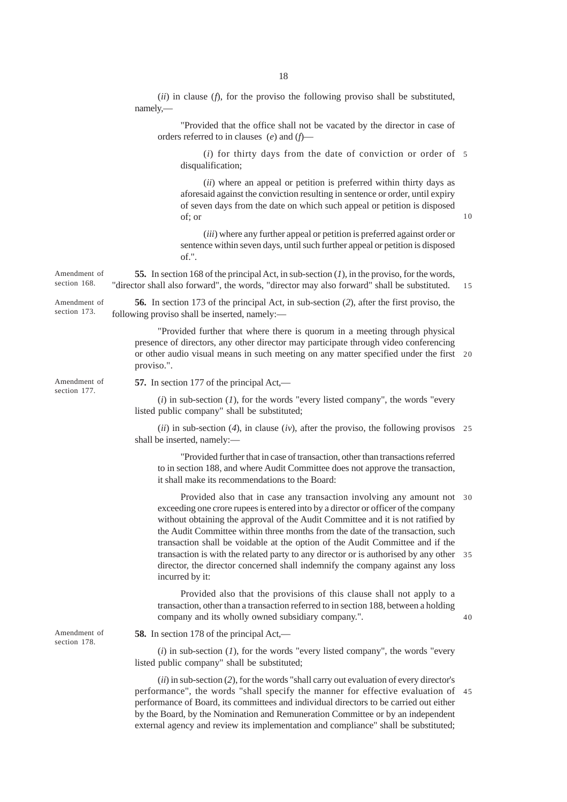(*ii*) in clause (*f*), for the proviso the following proviso shall be substituted, namely,—

"Provided that the office shall not be vacated by the director in case of orders referred to in clauses (*e*) and (*f*)—

(*i*) for thirty days from the date of conviction or order of 5 disqualification;

(*ii*) where an appeal or petition is preferred within thirty days as aforesaid against the conviction resulting in sentence or order, until expiry of seven days from the date on which such appeal or petition is disposed of; or

(*iii*) where any further appeal or petition is preferred against order or sentence within seven days, until such further appeal or petition is disposed of.".

**55.** In section 168 of the principal Act, in sub-section (*1*), in the proviso, for the words, "director shall also forward", the words, "director may also forward" shall be substituted. Amendment of section 168. 15

Amendment of section 173.

**56.** In section 173 of the principal Act, in sub-section (*2*), after the first proviso, the following proviso shall be inserted, namely:—

"Provided further that where there is quorum in a meeting through physical presence of directors, any other director may participate through video conferencing or other audio visual means in such meeting on any matter specified under the first 20 proviso.".

Amendment of section 177.

**57.** In section 177 of the principal Act,—

(*i*) in sub-section (*1*), for the words "every listed company", the words "every listed public company" shall be substituted;

(*ii*) in sub-section (*4*), in clause (*iv*), after the proviso, the following provisos 25 shall be inserted, namely:—

"Provided further that in case of transaction, other than transactions referred to in section 188, and where Audit Committee does not approve the transaction, it shall make its recommendations to the Board:

Provided also that in case any transaction involving any amount not 30 exceeding one crore rupees is entered into by a director or officer of the company without obtaining the approval of the Audit Committee and it is not ratified by the Audit Committee within three months from the date of the transaction, such transaction shall be voidable at the option of the Audit Committee and if the transaction is with the related party to any director or is authorised by any other 35 director, the director concerned shall indemnify the company against any loss incurred by it:

Provided also that the provisions of this clause shall not apply to a transaction, other than a transaction referred to in section 188, between a holding company and its wholly owned subsidiary company.".

40

10

Amendment of section 178.

**58.** In section 178 of the principal Act,—

 $(i)$  in sub-section  $(I)$ , for the words "every listed company", the words "every" listed public company" shall be substituted;

(*ii*) in sub-section (*2*), for the words "shall carry out evaluation of every director's performance", the words "shall specify the manner for effective evaluation of 45performance of Board, its committees and individual directors to be carried out either by the Board, by the Nomination and Remuneration Committee or by an independent external agency and review its implementation and compliance" shall be substituted;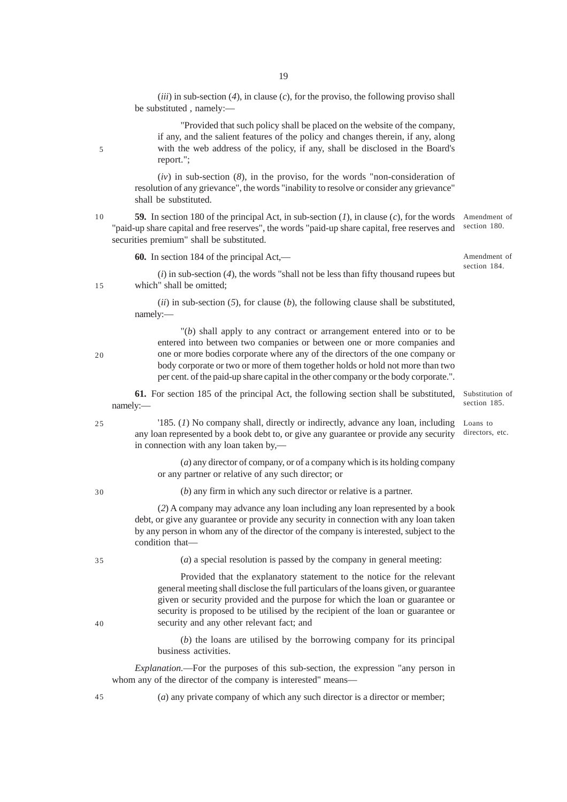(*iii*) in sub-section (*4*), in clause (*c*), for the proviso, the following proviso shall be substituted , namely:—

"Provided that such policy shall be placed on the website of the company, if any, and the salient features of the policy and changes therein, if any, along with the web address of the policy, if any, shall be disclosed in the Board's report.";

(*iv*) in sub-section (*8*), in the proviso, for the words "non-consideration of resolution of any grievance", the words "inability to resolve or consider any grievance" shall be substituted.

10

5

**59.** In section 180 of the principal Act, in sub-section (*1*), in clause (*c*), for the words Amendment of "paid-up share capital and free reserves", the words "paid-up share capital, free reserves and securities premium" shall be substituted. section 180.

**60.** In section 184 of the principal Act,—

Amendment of section 184.

(*i*) in sub-section (*4*), the words "shall not be less than fifty thousand rupees but which" shall be omitted;

(*ii*) in sub-section (*5*), for clause (*b*), the following clause shall be substituted, namely:—

20

15

"(*b*) shall apply to any contract or arrangement entered into or to be entered into between two companies or between one or more companies and one or more bodies corporate where any of the directors of the one company or body corporate or two or more of them together holds or hold not more than two per cent. of the paid-up share capital in the other company or the body corporate.".

**61.** For section 185 of the principal Act, the following section shall be substituted, Substitution of namely: section 185.

 $25$ 

'185. (*1*) No company shall, directly or indirectly, advance any loan, including Loans to any loan represented by a book debt to, or give any guarantee or provide any security in connection with any loan taken by, directors, etc.

(*a*) any director of company, or of a company which is its holding company or any partner or relative of any such director; or

(*b*) any firm in which any such director or relative is a partner.

(*2*) A company may advance any loan including any loan represented by a book debt, or give any guarantee or provide any security in connection with any loan taken by any person in whom any of the director of the company is interested, subject to the condition that—

35

40

(*a*) a special resolution is passed by the company in general meeting:

Provided that the explanatory statement to the notice for the relevant general meeting shall disclose the full particulars of the loans given, or guarantee given or security provided and the purpose for which the loan or guarantee or security is proposed to be utilised by the recipient of the loan or guarantee or security and any other relevant fact; and

(*b*) the loans are utilised by the borrowing company for its principal business activities.

*Explanation.*—For the purposes of this sub-section, the expression "any person in whom any of the director of the company is interested" means—

45

(*a*) any private company of which any such director is a director or member;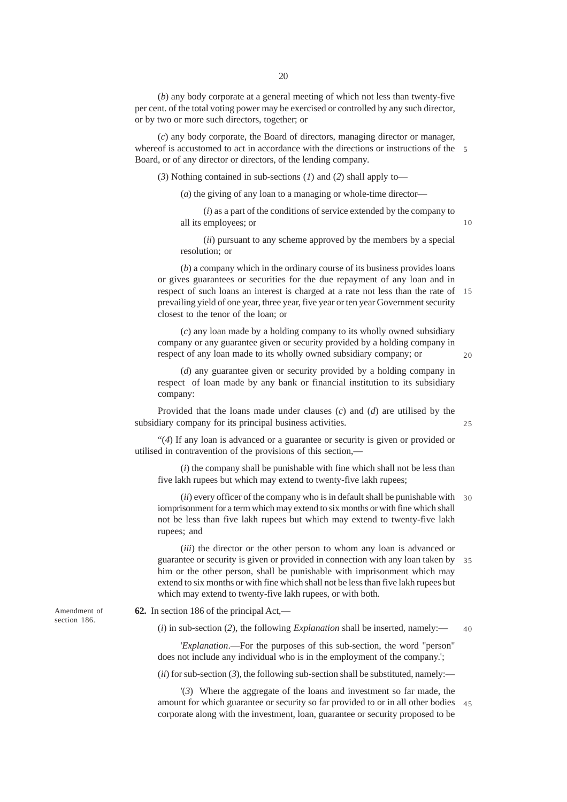(*b*) any body corporate at a general meeting of which not less than twenty-five per cent. of the total voting power may be exercised or controlled by any such director, or by two or more such directors, together; or

(*c*) any body corporate, the Board of directors, managing director or manager, whereof is accustomed to act in accordance with the directions or instructions of the 5 Board, or of any director or directors, of the lending company.

(*3*) Nothing contained in sub-sections (*1*) and (*2*) shall apply to—

(*a*) the giving of any loan to a managing or whole-time director—

(*i*) as a part of the conditions of service extended by the company to all its employees; or

(*ii*) pursuant to any scheme approved by the members by a special resolution; or

(*b*) a company which in the ordinary course of its business provides loans or gives guarantees or securities for the due repayment of any loan and in respect of such loans an interest is charged at a rate not less than the rate of 15 prevailing yield of one year, three year, five year or ten year Government security closest to the tenor of the loan; or

(*c*) any loan made by a holding company to its wholly owned subsidiary company or any guarantee given or security provided by a holding company in respect of any loan made to its wholly owned subsidiary company; or

 $20$ 

 $25$ 

10

(*d*) any guarantee given or security provided by a holding company in respect of loan made by any bank or financial institution to its subsidiary company:

Provided that the loans made under clauses (*c*) and (*d*) are utilised by the subsidiary company for its principal business activities.

"(*4*) If any loan is advanced or a guarantee or security is given or provided or utilised in contravention of the provisions of this section,—

(*i*) the company shall be punishable with fine which shall not be less than five lakh rupees but which may extend to twenty-five lakh rupees;

(*ii*) every officer of the company who is in default shall be punishable with 30 iomprisonment for a term which may extend to six months or with fine which shall not be less than five lakh rupees but which may extend to twenty-five lakh rupees; and

(*iii*) the director or the other person to whom any loan is advanced or guarantee or security is given or provided in connection with any loan taken by 35 him or the other person, shall be punishable with imprisonment which may extend to six months or with fine which shall not be less than five lakh rupees but which may extend to twenty-five lakh rupees, or with both.

Amendment of section 186.

**62.** In section 186 of the principal Act,—

(*i*) in sub-section (*2*), the following *Explanation* shall be inserted, namely:— 40

'*Explanation*.—For the purposes of this sub-section, the word "person" does not include any individual who is in the employment of the company.';

 $(iii)$  for sub-section (3), the following sub-section shall be substituted, namely:—

'(*3*) Where the aggregate of the loans and investment so far made, the amount for which guarantee or security so far provided to or in all other bodies 45corporate along with the investment, loan, guarantee or security proposed to be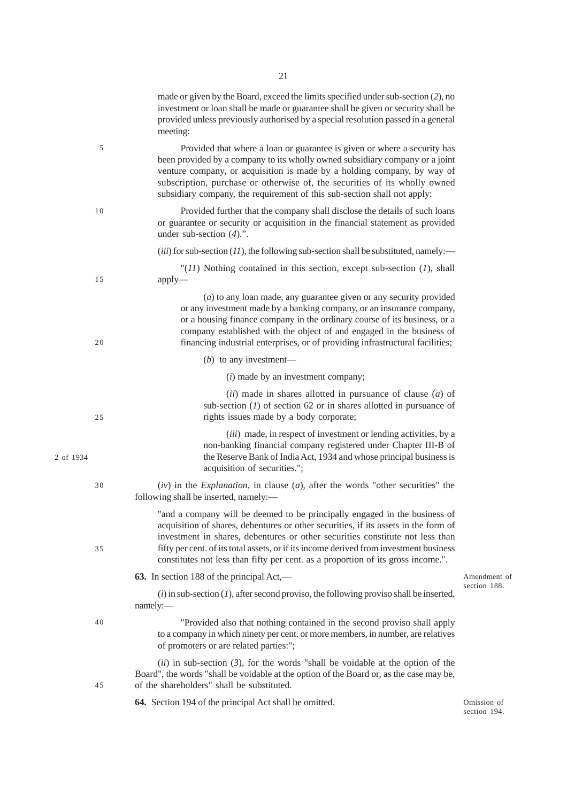|           |    | made or given by the Board, exceed the limits specified under sub-section (2), no<br>investment or loan shall be made or guarantee shall be given or security shall be<br>provided unless previously authorised by a special resolution passed in a general<br>meeting:                                                                                                                                                          |                             |
|-----------|----|----------------------------------------------------------------------------------------------------------------------------------------------------------------------------------------------------------------------------------------------------------------------------------------------------------------------------------------------------------------------------------------------------------------------------------|-----------------------------|
|           | 5  | Provided that where a loan or guarantee is given or where a security has<br>been provided by a company to its wholly owned subsidiary company or a joint<br>venture company, or acquisition is made by a holding company, by way of<br>subscription, purchase or otherwise of, the securities of its wholly owned<br>subsidiary company, the requirement of this sub-section shall not apply:                                    |                             |
|           | 10 | Provided further that the company shall disclose the details of such loans<br>or guarantee or security or acquisition in the financial statement as provided<br>under sub-section $(4)$ .".                                                                                                                                                                                                                                      |                             |
|           |    | $(iii)$ for sub-section (11), the following sub-section shall be substituted, namely:—                                                                                                                                                                                                                                                                                                                                           |                             |
|           | 15 | "(11) Nothing contained in this section, except sub-section $(1)$ , shall<br>apply-                                                                                                                                                                                                                                                                                                                                              |                             |
|           | 20 | $(a)$ to any loan made, any guarantee given or any security provided<br>or any investment made by a banking company, or an insurance company,<br>or a housing finance company in the ordinary course of its business, or a<br>company established with the object of and engaged in the business of<br>financing industrial enterprises, or of providing infrastructural facilities;                                             |                             |
|           |    | (b) to any investment—                                                                                                                                                                                                                                                                                                                                                                                                           |                             |
|           |    | (i) made by an investment company;                                                                                                                                                                                                                                                                                                                                                                                               |                             |
|           | 25 | $(ii)$ made in shares allotted in pursuance of clause $(a)$ of<br>sub-section $(I)$ of section 62 or in shares allotted in pursuance of<br>rights issues made by a body corporate;                                                                                                                                                                                                                                               |                             |
| 2 of 1934 |    | (iii) made, in respect of investment or lending activities, by a<br>non-banking financial company registered under Chapter III-B of<br>the Reserve Bank of India Act, 1934 and whose principal business is<br>acquisition of securities.";                                                                                                                                                                                       |                             |
|           | 30 | $(iv)$ in the <i>Explanation</i> , in clause $(a)$ , after the words "other securities" the<br>following shall be inserted, namely:-                                                                                                                                                                                                                                                                                             |                             |
|           | 35 | "and a company will be deemed to be principally engaged in the business of<br>acquisition of shares, debentures or other securities, if its assets in the form of<br>investment in shares, debentures or other securities constitute not less than<br>fifty per cent. of its total assets, or if its income derived from investment business<br>constitutes not less than fifty per cent. as a proportion of its gross income.". |                             |
|           |    | <b>63.</b> In section 188 of the principal Act,—                                                                                                                                                                                                                                                                                                                                                                                 | Amendment of                |
|           |    | $(i)$ in sub-section $(I)$ , after second proviso, the following proviso shall be inserted,<br>namely:-                                                                                                                                                                                                                                                                                                                          | section 188.                |
|           | 40 | "Provided also that nothing contained in the second proviso shall apply<br>to a company in which ninety per cent. or more members, in number, are relatives<br>of promoters or are related parties:";                                                                                                                                                                                                                            |                             |
|           | 45 | $(ii)$ in sub-section (3), for the words "shall be voidable at the option of the<br>Board", the words "shall be voidable at the option of the Board or, as the case may be,<br>of the shareholders" shall be substituted.                                                                                                                                                                                                        |                             |
|           |    | 64. Section 194 of the principal Act shall be omitted.                                                                                                                                                                                                                                                                                                                                                                           | Omission of<br>section 194. |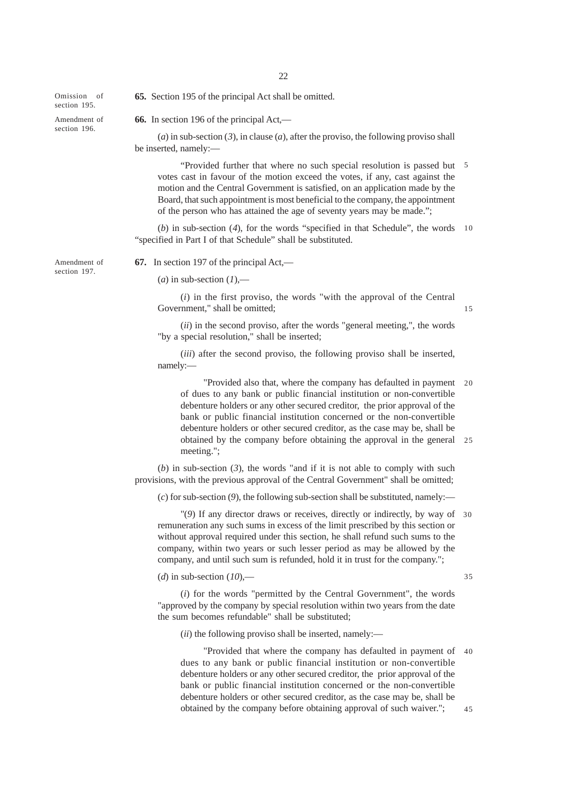Omission of section 195.

Amendment of section 196.

**65.** Section 195 of the principal Act shall be omitted.

**66.** In section 196 of the principal Act,—

(*a*) in sub-section (*3*), in clause (*a*), after the proviso, the following proviso shall be inserted, namely:-

"Provided further that where no such special resolution is passed but 5 votes cast in favour of the motion exceed the votes, if any, cast against the motion and the Central Government is satisfied, on an application made by the Board, that such appointment is most beneficial to the company, the appointment of the person who has attained the age of seventy years may be made.";

(*b*) in sub-section (*4*), for the words "specified in that Schedule", the words 10 "specified in Part I of that Schedule" shall be substituted.

Amendment of section 197.

**67.** In section 197 of the principal Act,—

 $(a)$  in sub-section  $(I)$ ,—

(*i*) in the first proviso, the words "with the approval of the Central Government," shall be omitted;

15

(*ii*) in the second proviso, after the words "general meeting,", the words "by a special resolution," shall be inserted;

(*iii*) after the second proviso, the following proviso shall be inserted, namely:—

"Provided also that, where the company has defaulted in payment 20 of dues to any bank or public financial institution or non-convertible debenture holders or any other secured creditor, the prior approval of the bank or public financial institution concerned or the non-convertible debenture holders or other secured creditor, as the case may be, shall be obtained by the company before obtaining the approval in the general 25 meeting.";

(*b*) in sub-section (*3*), the words "and if it is not able to comply with such provisions, with the previous approval of the Central Government" shall be omitted;

(*c*) for sub-section (*9*), the following sub-section shall be substituted, namely:—

"(*9*) If any director draws or receives, directly or indirectly, by way of 30 remuneration any such sums in excess of the limit prescribed by this section or without approval required under this section, he shall refund such sums to the company, within two years or such lesser period as may be allowed by the company, and until such sum is refunded, hold it in trust for the company.";

(*d*) in sub-section (*10*),—

35

(*i*) for the words "permitted by the Central Government", the words "approved by the company by special resolution within two years from the date the sum becomes refundable" shall be substituted;

(*ii*) the following proviso shall be inserted, namely:—

"Provided that where the company has defaulted in payment of 40 dues to any bank or public financial institution or non-convertible debenture holders or any other secured creditor, the prior approval of the bank or public financial institution concerned or the non-convertible debenture holders or other secured creditor, as the case may be, shall be obtained by the company before obtaining approval of such waiver.";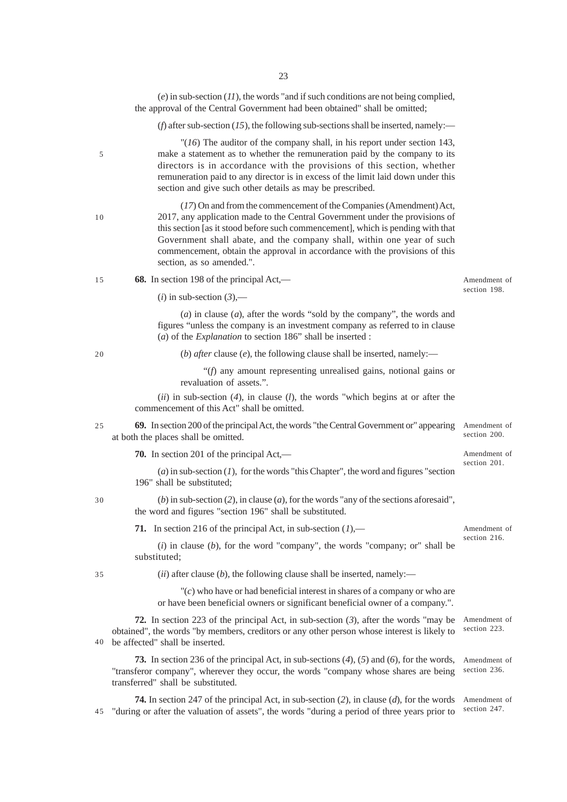(*e*) in sub-section (*11*), the words "and if such conditions are not being complied, the approval of the Central Government had been obtained" shall be omitted;

( $f$ ) after sub-section ( $15$ ), the following sub-sections shall be inserted, namely:—

"(*16*) The auditor of the company shall, in his report under section 143, make a statement as to whether the remuneration paid by the company to its directors is in accordance with the provisions of this section, whether remuneration paid to any director is in excess of the limit laid down under this section and give such other details as may be prescribed. (*17*) On and from the commencement of the Companies (Amendment) Act, 2017, any application made to the Central Government under the provisions of

this section [as it stood before such commencement], which is pending with that Government shall abate, and the company shall, within one year of such commencement, obtain the approval in accordance with the provisions of this section, as so amended.".

**68.** In section 198 of the principal Act,— 15

Amendment of section 198.

 $(i)$  in sub-section  $(3)$ ,—

(*a*) in clause (*a*), after the words "sold by the company", the words and figures "unless the company is an investment company as referred to in clause (*a*) of the *Explanation* to section 186" shall be inserted :

 $20$ 

5

10

(*b*) *after* clause (*e*), the following clause shall be inserted, namely:—

"(*f*) any amount representing unrealised gains, notional gains or revaluation of assets.".

(*ii*) in sub-section (*4*), in clause (*l*), the words "which begins at or after the commencement of this Act" shall be omitted.

**69.** In section 200 of the principal Act, the words "the Central Government or" appearing at both the places shall be omitted. Amendment of section 200. 25

**70.** In section 201 of the principal Act,—

 $(a)$  in sub-section  $(I)$ , for the words "this Chapter", the word and figures "section 196" shall be substituted;

(*b*) in sub-section (*2*), in clause (*a*), for the words "any of the sections aforesaid", the word and figures "section 196" shall be substituted.

**71.** In section 216 of the principal Act, in sub-section (*1*),—

(*i*) in clause (*b*), for the word "company", the words "company; or" shall be substituted;

35

30

 $(iii)$  after clause  $(b)$ , the following clause shall be inserted, namely:—

"(*c*) who have or had beneficial interest in shares of a company or who are or have been beneficial owners or significant beneficial owner of a company.".

**72.** In section 223 of the principal Act, in sub-section (*3*), after the words "may be obtained", the words "by members, creditors or any other person whose interest is likely to be affected" shall be inserted. Amendment of section 223. 40

**73.** In section 236 of the principal Act, in sub-sections (*4*), (*5*) and (*6*), for the words, Amendment of "transferor company", wherever they occur, the words "company whose shares are being transferred" shall be substituted. section 236.

**74.** In section 247 of the principal Act, in sub-section (*2*), in clause (*d*), for the words "during or after the valuation of assets", the words "during a period of three years prior to Amendment of section 247. 45

Amendment of

section 201.

Amendment of section 216.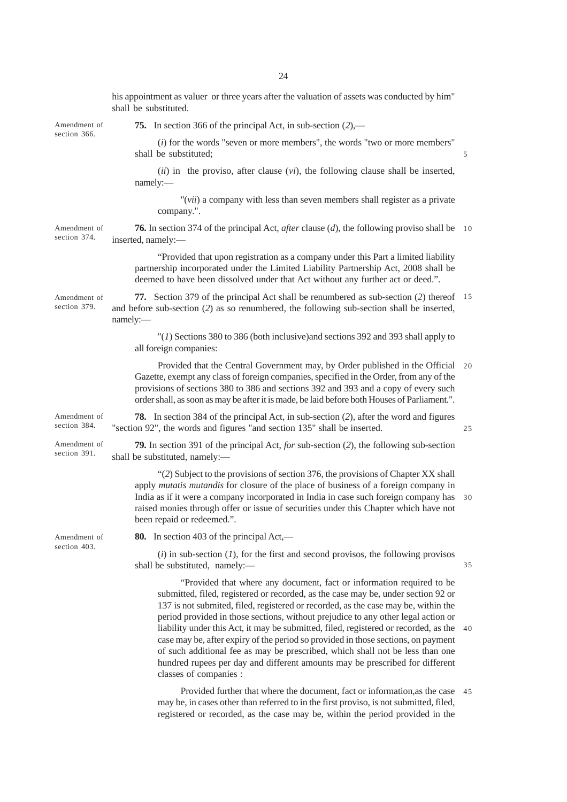his appointment as valuer or three years after the valuation of assets was conducted by him" shall be substituted. **75.** In section 366 of the principal Act, in sub-section (*2*),— (*i*) for the words "seven or more members", the words "two or more members" shall be substituted; (*ii*) in the proviso, after clause (*vi*), the following clause shall be inserted, namely:— "(*vii*) a company with less than seven members shall register as a private company.". **76.** In section 374 of the principal Act, *after* clause (*d*), the following proviso shall be 10 inserted, namely:— "Provided that upon registration as a company under this Part a limited liability partnership incorporated under the Limited Liability Partnership Act, 2008 shall be deemed to have been dissolved under that Act without any further act or deed.". **77.** Section 379 of the principal Act shall be renumbered as sub-section (*2*) thereof 15 and before sub-section (*2*) as so renumbered, the following sub-section shall be inserted, namely:— "(*1*) Sections 380 to 386 (both inclusive)and sections 392 and 393 shall apply to all foreign companies: Provided that the Central Government may, by Order published in the Official 20 Gazette, exempt any class of foreign companies, specified in the Order, from any of the provisions of sections 380 to 386 and sections 392 and 393 and a copy of every such order shall, as soon as may be after it is made, be laid before both Houses of Parliament.". **78.** In section 384 of the principal Act, in sub-section (*2*), after the word and figures "section 92", the words and figures "and section 135" shall be inserted. **79.** In section 391 of the principal Act, *for* sub-section (*2*), the following sub-section shall be substituted, namely:— "(*2*) Subject to the provisions of section 376, the provisions of Chapter XX shall apply *mutatis mutandis* for closure of the place of business of a foreign company in India as if it were a company incorporated in India in case such foreign company has 30 raised monies through offer or issue of securities under this Chapter which have not been repaid or redeemed.". **80.** In section 403 of the principal Act,— (*i*) in sub-section (*1*), for the first and second provisos, the following provisos shall be substituted, namely:— "Provided that where any document, fact or information required to be submitted, filed, registered or recorded, as the case may be, under section 92 or 137 is not submited, filed, registered or recorded, as the case may be, within the period provided in those sections, without prejudice to any other legal action or liability under this Act, it may be submitted, filed, registered or recorded, as the case may be, after expiry of the period so provided in those sections, on payment of such additional fee as may be prescribed, which shall not be less than one hundred rupees per day and different amounts may be prescribed for different classes of companies : Provided further that where the document, fact or information,as the case 45may be, in cases other than referred to in the first proviso, is not submitted, filed, Amendment of section 366. Amendment of section 374. Amendment of section 379. Amendment of section 384. Amendment of section 391. Amendment of section 403. 5 25 35 40

registered or recorded, as the case may be, within the period provided in the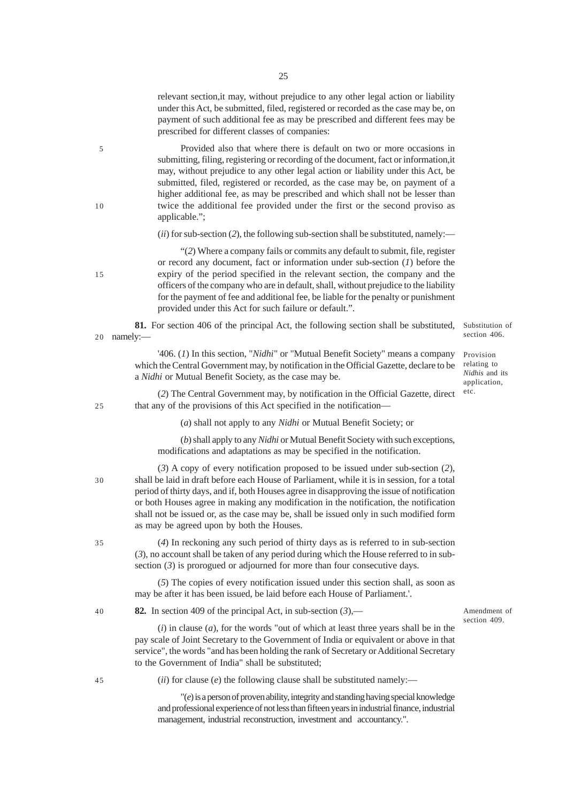10

15

25

"(*2*) Where a company fails or commits any default to submit, file, register or record any document, fact or information under sub-section (*1*) before the expiry of the period specified in the relevant section, the company and the officers of the company who are in default, shall, without prejudice to the liability for the payment of fee and additional fee, be liable for the penalty or punishment provided under this Act for such failure or default.".

(*ii*) for sub-section (*2*), the following sub-section shall be substituted, namely:—

**81.** For section 406 of the principal Act, the following section shall be substituted, Substitution of namely:— 20

'406. (*1*) In this section, "*Nidhi*" or "Mutual Benefit Society" means a company which the Central Government may, by notification in the Official Gazette, declare to be a *Nidhi* or Mutual Benefit Society, as the case may be.

(*2*) The Central Government may, by notification in the Official Gazette, direct that any of the provisions of this Act specified in the notification—

(*a*) shall not apply to any *Nidhi* or Mutual Benefit Society; or

(*b*) shall apply to any *Nidhi* or Mutual Benefit Society with such exceptions, modifications and adaptations as may be specified in the notification.

(*3*) A copy of every notification proposed to be issued under sub-section (*2*), shall be laid in draft before each House of Parliament, while it is in session, for a total period of thirty days, and if, both Houses agree in disapproving the issue of notification or both Houses agree in making any modification in the notification, the notification shall not be issued or, as the case may be, shall be issued only in such modified form as may be agreed upon by both the Houses.

(*4*) In reckoning any such period of thirty days as is referred to in sub-section (*3*), no account shall be taken of any period during which the House referred to in subsection (3) is prorogued or adjourned for more than four consecutive days.

(*5*) The copies of every notification issued under this section shall, as soon as may be after it has been issued, be laid before each House of Parliament.'.

**82.** In section 409 of the principal Act, in sub-section (*3*),— 40

> (*i*) in clause (*a*), for the words "out of which at least three years shall be in the pay scale of Joint Secretary to the Government of India or equivalent or above in that service", the words "and has been holding the rank of Secretary or Additional Secretary to the Government of India" shall be substituted;

(*ii*) for clause (*e*) the following clause shall be substituted namely:—

"(*e*) is a person of proven ability, integrity and standing having special knowledge and professional experience of not less than fifteen years in industrial finance, industrial management, industrial reconstruction, investment and accountancy.".

section 406.

Provision relating to *Nidhis* and its application, etc.

Amendment of section 409.

prescribed for different classes of companies:

applicable.";

relevant section,it may, without prejudice to any other legal action or liability under this Act, be submitted, filed, registered or recorded as the case may be, on payment of such additional fee as may be prescribed and different fees may be

Provided also that where there is default on two or more occasions in submitting, filing, registering or recording of the document, fact or information,it may, without prejudice to any other legal action or liability under this Act, be submitted, filed, registered or recorded, as the case may be, on payment of a higher additional fee, as may be prescribed and which shall not be lesser than twice the additional fee provided under the first or the second proviso as

35

45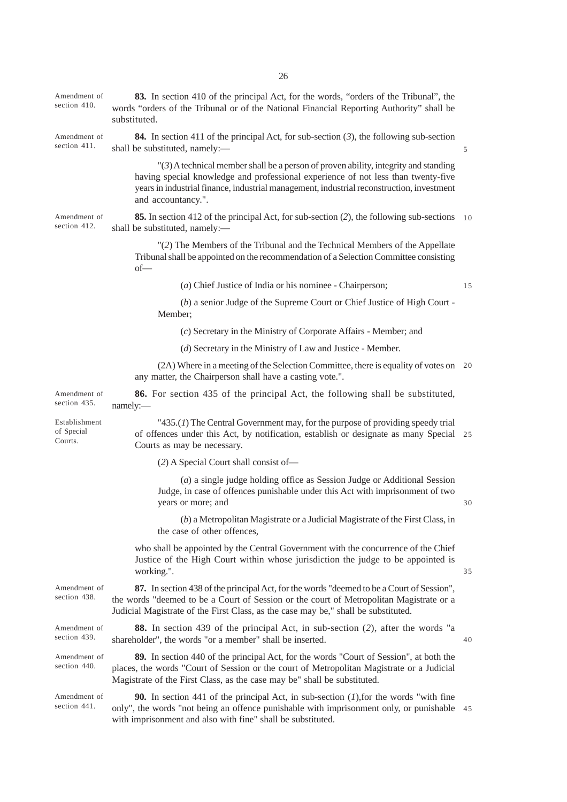| Amendment of<br>section 410.           | 83. In section 410 of the principal Act, for the words, "orders of the Tribunal", the<br>words "orders of the Tribunal or of the National Financial Reporting Authority" shall be<br>substituted.                                                                                                                 |    |
|----------------------------------------|-------------------------------------------------------------------------------------------------------------------------------------------------------------------------------------------------------------------------------------------------------------------------------------------------------------------|----|
| Amendment of<br>section 411.           | 84. In section 411 of the principal Act, for sub-section $(3)$ , the following sub-section<br>shall be substituted, namely:-                                                                                                                                                                                      | 5  |
|                                        | $\mathcal{C}(\mathcal{J})$ A technical member shall be a person of proven ability, integrity and standing<br>having special knowledge and professional experience of not less than twenty-five<br>years in industrial finance, industrial management, industrial reconstruction, investment<br>and accountancy.". |    |
| Amendment of<br>section 412.           | 85. In section 412 of the principal Act, for sub-section (2), the following sub-sections 10<br>shall be substituted, namely:-                                                                                                                                                                                     |    |
|                                        | "(2) The Members of the Tribunal and the Technical Members of the Appellate<br>Tribunal shall be appointed on the recommendation of a Selection Committee consisting<br>$of$ —                                                                                                                                    |    |
|                                        | (a) Chief Justice of India or his nominee - Chairperson;                                                                                                                                                                                                                                                          | 15 |
|                                        | (b) a senior Judge of the Supreme Court or Chief Justice of High Court -<br>Member;                                                                                                                                                                                                                               |    |
|                                        | (c) Secretary in the Ministry of Corporate Affairs - Member; and                                                                                                                                                                                                                                                  |    |
|                                        | (d) Secretary in the Ministry of Law and Justice - Member.                                                                                                                                                                                                                                                        |    |
|                                        | (2A) Where in a meeting of the Selection Committee, there is equality of votes on 20<br>any matter, the Chairperson shall have a casting vote.".                                                                                                                                                                  |    |
| Amendment of<br>section 435.           | <b>86.</b> For section 435 of the principal Act, the following shall be substituted,<br>namely:-                                                                                                                                                                                                                  |    |
| Establishment<br>of Special<br>Courts. | "435.(1) The Central Government may, for the purpose of providing speedy trial<br>of offences under this Act, by notification, establish or designate as many Special 25<br>Courts as may be necessary.                                                                                                           |    |
|                                        | (2) A Special Court shall consist of-                                                                                                                                                                                                                                                                             |    |
|                                        | (a) a single judge holding office as Session Judge or Additional Session<br>Judge, in case of offences punishable under this Act with imprisonment of two<br>years or more; and                                                                                                                                   | 30 |
|                                        | $(b)$ a Metropolitan Magistrate or a Judicial Magistrate of the First Class, in<br>the case of other offences,                                                                                                                                                                                                    |    |
|                                        | who shall be appointed by the Central Government with the concurrence of the Chief<br>Justice of the High Court within whose jurisdiction the judge to be appointed is<br>working.".                                                                                                                              | 35 |
| Amendment of<br>section 438.           | 87. In section 438 of the principal Act, for the words "deemed to be a Court of Session",<br>the words "deemed to be a Court of Session or the court of Metropolitan Magistrate or a<br>Judicial Magistrate of the First Class, as the case may be," shall be substituted.                                        |    |
| Amendment of<br>section 439.           | 88. In section 439 of the principal Act, in sub-section (2), after the words "a<br>shareholder", the words "or a member" shall be inserted.                                                                                                                                                                       | 40 |
| Amendment of<br>section 440.           | 89. In section 440 of the principal Act, for the words "Court of Session", at both the<br>places, the words "Court of Session or the court of Metropolitan Magistrate or a Judicial<br>Magistrate of the First Class, as the case may be" shall be substituted.                                                   |    |
| Amendment of<br>section 441.           | <b>90.</b> In section 441 of the principal Act, in sub-section $(1)$ , for the words "with fine<br>only", the words "not being an offence punishable with imprisonment only, or punishable 45<br>with imprisonment and also with fine" shall be substituted.                                                      |    |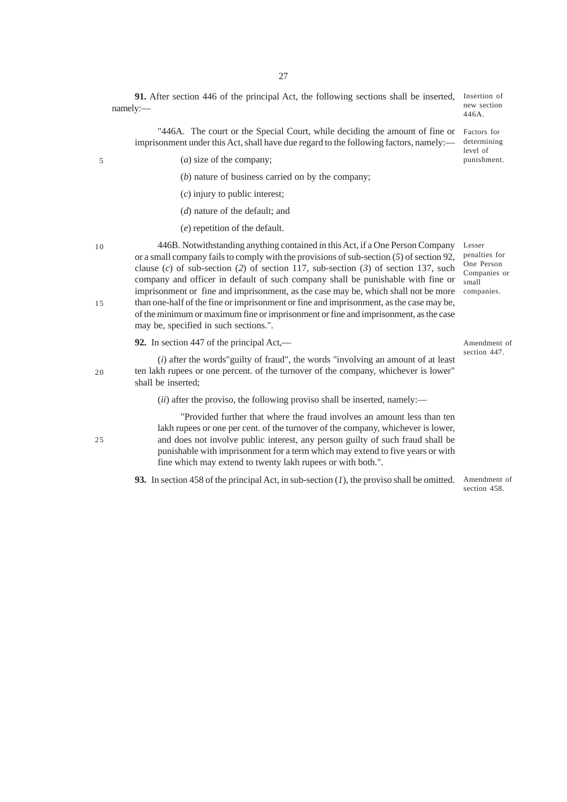**91.** After section 446 of the principal Act, the following sections shall be inserted, namely:— Insertion of new section 446A.

"446A. The court or the Special Court, while deciding the amount of fine or Factors for imprisonment under this Act, shall have due regard to the following factors, namely:—

(*a*) size of the company;

(*b*) nature of business carried on by the company;

(*c*) injury to public interest;

(*d*) nature of the default; and

(*e*) repetition of the default.

446B. Notwithstanding anything contained in this Act, if a One Person Company or a small company fails to comply with the provisions of sub-section (*5*) of section 92, clause (*c*) of sub-section (*2*) of section 117, sub-section (*3*) of section 137, such company and officer in default of such company shall be punishable with fine or imprisonment or fine and imprisonment, as the case may be, which shall not be more than one-half of the fine or imprisonment or fine and imprisonment, as the case may be, of the minimum or maximum fine or imprisonment or fine and imprisonment, as the case may be, specified in such sections.". companies. 10 15

**92.** In section 447 of the principal Act,—

(*i*) after the words"guilty of fraud", the words "involving an amount of at least ten lakh rupees or one percent. of the turnover of the company, whichever is lower" shall be inserted;

(*ii*) after the proviso, the following proviso shall be inserted, namely:—

"Provided further that where the fraud involves an amount less than ten lakh rupees or one per cent. of the turnover of the company, whichever is lower, and does not involve public interest, any person guilty of such fraud shall be punishable with imprisonment for a term which may extend to five years or with fine which may extend to twenty lakh rupees or with both.".

**93.** In section 458 of the principal Act, in sub-section (*1*), the proviso shall be omitted. Amendment of section 458.

determining level of punishment.

Lesser penalties for One Person Companies or small

Amendment of section 447.

20

5